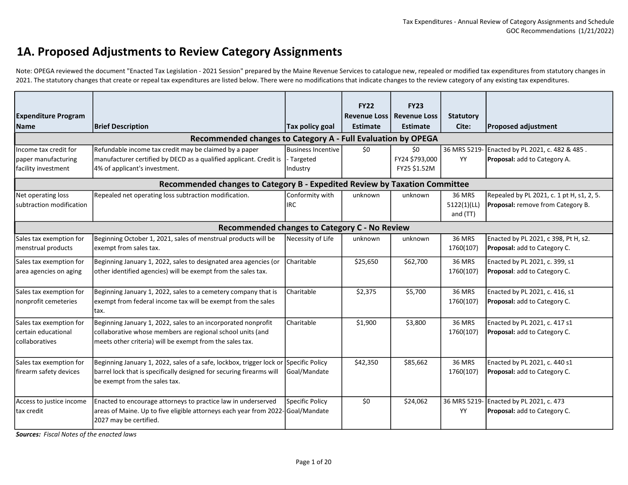#### 1A. Proposed Adjustments to Review Category Assignments

Note: OPEGA reviewed the document "Enacted Tax Legislation - 2021 Session" prepared by the Maine Revenue Services to catalogue new, repealed or modified tax expenditures from statutory changes in 2021. The statutory changes that create or repeal tax expenditures are listed below. There were no modifications that indicate changes to the review category of any existing tax expenditures.

|                                           |                                                                                      |                    | <b>FY22</b>                            | <b>FY23</b>                            |                           |                                                |
|-------------------------------------------|--------------------------------------------------------------------------------------|--------------------|----------------------------------------|----------------------------------------|---------------------------|------------------------------------------------|
| <b>Expenditure Program</b><br><b>Name</b> | <b>Brief Description</b>                                                             | Tax policy goal    | <b>Revenue Loss</b><br><b>Estimate</b> | <b>Revenue Loss</b><br><b>Estimate</b> | <b>Statutory</b><br>Cite: | <b>Proposed adjustment</b>                     |
|                                           |                                                                                      |                    |                                        |                                        |                           |                                                |
|                                           | Recommended changes to Category A - Full Evaluation by OPEGA                         |                    |                                        |                                        |                           |                                                |
| Income tax credit for                     | Refundable income tax credit may be claimed by a paper                               | Business Incentive | \$0                                    | \$0                                    |                           | 36 MRS 5219- Enacted by PL 2021, c. 482 & 485. |
| paper manufacturing                       | manufacturer certified by DECD as a qualified applicant. Credit is                   | - Targeted         |                                        | FY24 \$793,000                         | <b>YY</b>                 | <b>Proposal:</b> add to Category A.            |
| facility investment                       | 4% of applicant's investment.                                                        | Industry           |                                        | FY25 \$1.52M                           |                           |                                                |
|                                           | Recommended changes to Category B - Expedited Review by Taxation Committee           |                    |                                        |                                        |                           |                                                |
| Net operating loss                        | Repealed net operating loss subtraction modification.                                | Conformity with    | unknown                                | unknown                                | <b>36 MRS</b>             | Repealed by PL 2021, c. 1 pt H, s1, 2, 5.      |
| subtraction modification                  |                                                                                      | <b>IRC</b>         |                                        |                                        | 5122(1)(LL)               | <b>Proposal:</b> remove from Category B.       |
|                                           |                                                                                      |                    |                                        |                                        | and (TT)                  |                                                |
|                                           | Recommended changes to Category C - No Review                                        |                    |                                        |                                        |                           |                                                |
| Sales tax exemption for                   | Beginning October 1, 2021, sales of menstrual products will be                       | Necessity of Life  | unknown                                | unknown                                | <b>36 MRS</b>             | Enacted by PL 2021, c 398, Pt H, s2.           |
| menstrual products                        | exempt from sales tax.                                                               |                    |                                        |                                        | 1760(107)                 | <b>Proposal:</b> add to Category C.            |
| Sales tax exemption for                   | Beginning January 1, 2022, sales to designated area agencies (or                     | Charitable         | \$25,650                               | \$62,700                               | <b>36 MRS</b>             | Enacted by PL 2021, c. 399, s1                 |
| area agencies on aging                    | other identified agencies) will be exempt from the sales tax.                        |                    |                                        |                                        | 1760(107)                 | <b>Proposal:</b> add to Category C.            |
|                                           |                                                                                      |                    |                                        |                                        |                           |                                                |
| Sales tax exemption for                   | Beginning January 1, 2022, sales to a cemetery company that is                       | Charitable         | \$2,375                                | \$5,700                                | <b>36 MRS</b>             | Enacted by PL 2021, c. 416, s1                 |
| nonprofit cemeteries                      | exempt from federal income tax will be exempt from the sales                         |                    |                                        |                                        | 1760(107)                 | <b>Proposal:</b> add to Category C.            |
|                                           | tax.                                                                                 |                    |                                        |                                        |                           |                                                |
| Sales tax exemption for                   | Beginning January 1, 2022, sales to an incorporated nonprofit                        | <b>Charitable</b>  | \$1,900                                | \$3,800                                | <b>36 MRS</b>             | Enacted by PL 2021, c. 417 s1                  |
| certain educational                       | collaborative whose members are regional school units (and                           |                    |                                        |                                        | 1760(107)                 | <b>Proposal:</b> add to Category C.            |
| collaboratives                            | meets other criteria) will be exempt from the sales tax.                             |                    |                                        |                                        |                           |                                                |
|                                           |                                                                                      |                    |                                        |                                        |                           |                                                |
| Sales tax exemption for                   | Beginning January 1, 2022, sales of a safe, lockbox, trigger lock or Specific Policy |                    | \$42,350                               | \$85,662                               | <b>36 MRS</b>             | Enacted by PL 2021, c. 440 s1                  |
| firearm safety devices                    | barrel lock that is specifically designed for securing firearms will                 | Goal/Mandate       |                                        |                                        | 1760(107)                 | <b>Proposal:</b> add to Category C.            |
|                                           | be exempt from the sales tax.                                                        |                    |                                        |                                        |                           |                                                |
|                                           |                                                                                      |                    |                                        |                                        |                           |                                                |
| Access to justice income                  | Enacted to encourage attorneys to practice law in underserved                        | Specific Policy    | \$0                                    | \$24,062                               |                           | 36 MRS 5219- Enacted by PL 2021, c. 473        |
| ltax credit                               | areas of Maine. Up to five eligible attorneys each year from 2022- Goal/Mandate      |                    |                                        |                                        | YY                        | <b>Proposal:</b> add to Category C.            |
|                                           | 2027 may be certified.                                                               |                    |                                        |                                        |                           |                                                |

Sources: Fiscal Notes of the enacted laws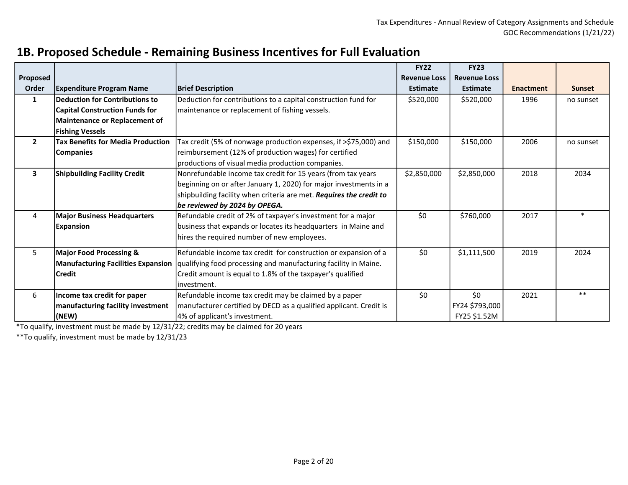|                |                                           |                                                                     | <b>FY22</b>         | <b>FY23</b>         |                  |               |
|----------------|-------------------------------------------|---------------------------------------------------------------------|---------------------|---------------------|------------------|---------------|
| Proposed       |                                           |                                                                     | <b>Revenue Loss</b> | <b>Revenue Loss</b> |                  |               |
| Order          | <b>Expenditure Program Name</b>           | <b>Brief Description</b>                                            | <b>Estimate</b>     | <b>Estimate</b>     | <b>Enactment</b> | <b>Sunset</b> |
| $\mathbf{1}$   | <b>Deduction for Contributions to</b>     | Deduction for contributions to a capital construction fund for      | \$520,000           | \$520,000           | 1996             | no sunset     |
|                | <b>Capital Construction Funds for</b>     | maintenance or replacement of fishing vessels.                      |                     |                     |                  |               |
|                | <b>Maintenance or Replacement of</b>      |                                                                     |                     |                     |                  |               |
|                | <b>Fishing Vessels</b>                    |                                                                     |                     |                     |                  |               |
| 2 <sup>1</sup> | <b>Tax Benefits for Media Production</b>  | Tax credit (5% of nonwage production expenses, if >\$75,000) and    | \$150,000           | \$150,000           | 2006             | no sunset     |
|                | <b>Companies</b>                          | reimbursement (12% of production wages) for certified               |                     |                     |                  |               |
|                |                                           | productions of visual media production companies.                   |                     |                     |                  |               |
| 3              | <b>Shipbuilding Facility Credit</b>       | Nonrefundable income tax credit for 15 years (from tax years        | \$2,850,000         | \$2,850,000         | 2018             | 2034          |
|                |                                           | beginning on or after January 1, 2020) for major investments in a   |                     |                     |                  |               |
|                |                                           | shipbuilding facility when criteria are met. Requires the credit to |                     |                     |                  |               |
|                |                                           | be reviewed by 2024 by OPEGA.                                       |                     |                     |                  |               |
| 4              | <b>Major Business Headquarters</b>        | Refundable credit of 2% of taxpayer's investment for a major        | \$0                 | \$760,000           | 2017             | ÷             |
|                | <b>Expansion</b>                          | business that expands or locates its headquarters in Maine and      |                     |                     |                  |               |
|                |                                           | hires the required number of new employees.                         |                     |                     |                  |               |
| 5              | <b>Major Food Processing &amp;</b>        | Refundable income tax credit for construction or expansion of a     | \$0                 | \$1,111,500         | 2019             | 2024          |
|                | <b>Manufacturing Facilities Expansion</b> | qualifying food processing and manufacturing facility in Maine.     |                     |                     |                  |               |
|                | <b>Credit</b>                             | Credit amount is equal to 1.8% of the taxpayer's qualified          |                     |                     |                  |               |
|                |                                           | investment.                                                         |                     |                     |                  |               |
| 6              | Income tax credit for paper               | Refundable income tax credit may be claimed by a paper              | \$0                 | \$0                 | 2021             | $***$         |
|                | manufacturing facility investment         | manufacturer certified by DECD as a qualified applicant. Credit is  |                     | FY24 \$793,000      |                  |               |
|                | (NEW)                                     | 4% of applicant's investment.                                       |                     | FY25 \$1.52M        |                  |               |

#### 1B. Proposed Schedule - Remaining Business Incentives for Full Evaluation

\*To qualify, investment must be made by 12/31/22; credits may be claimed for 20 years

\*\*To qualify, investment must be made by 12/31/23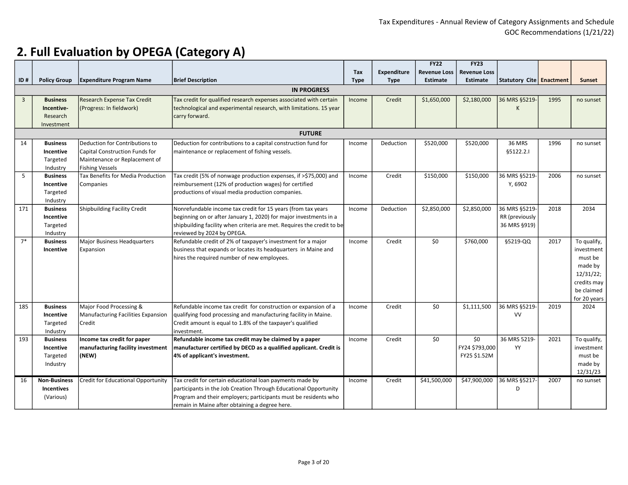|                |                     |                                    |                                                                        |             |                    | <b>FY22</b>         | <b>FY23</b>         |                          |      |               |
|----------------|---------------------|------------------------------------|------------------------------------------------------------------------|-------------|--------------------|---------------------|---------------------|--------------------------|------|---------------|
|                |                     |                                    |                                                                        | Tax         | <b>Expenditure</b> | <b>Revenue Loss</b> | <b>Revenue Loss</b> |                          |      |               |
| ID#            | <b>Policy Group</b> | <b>Expenditure Program Name</b>    | <b>Brief Description</b>                                               | <b>Type</b> | <b>Type</b>        | <b>Estimate</b>     | <b>Estimate</b>     | Statutory Cite Enactment |      | <b>Sunset</b> |
|                |                     |                                    |                                                                        |             |                    |                     |                     |                          |      |               |
|                |                     |                                    | <b>IN PROGRESS</b>                                                     |             |                    |                     |                     |                          |      |               |
| $\overline{3}$ | <b>Business</b>     | <b>Research Expense Tax Credit</b> | Tax credit for qualified research expenses associated with certain     | Income      | Credit             | \$1,650,000         | \$2,180,000         | 36 MRS §5219-            | 1995 | no sunset     |
|                | Incentive-          | (Progress: In fieldwork)           | technological and experimental research, with limitations. 15 year     |             |                    |                     |                     | K                        |      |               |
|                | Research            |                                    | carry forward.                                                         |             |                    |                     |                     |                          |      |               |
|                | Investment          |                                    |                                                                        |             |                    |                     |                     |                          |      |               |
|                | <b>FUTURE</b>       |                                    |                                                                        |             |                    |                     |                     |                          |      |               |
| 14             | <b>Business</b>     | Deduction for Contributions to     | Deduction for contributions to a capital construction fund for         | Income      | Deduction          | \$520,000           | \$520,000           | 36 MRS                   | 1996 | no sunset     |
|                | Incentive           | Capital Construction Funds for     | maintenance or replacement of fishing vessels.                         |             |                    |                     |                     | §5122.2.1                |      |               |
|                | Targeted            | Maintenance or Replacement of      |                                                                        |             |                    |                     |                     |                          |      |               |
|                | Industry            | <b>Fishing Vessels</b>             |                                                                        |             |                    |                     |                     |                          |      |               |
| 5              | <b>Business</b>     | Tax Benefits for Media Production  | Tax credit (5% of nonwage production expenses, if >\$75,000) and       | Income      | Credit             | \$150,000           | \$150,000           | 36 MRS §5219-            | 2006 | no sunset     |
|                | Incentive           | Companies                          | reimbursement (12% of production wages) for certified                  |             |                    |                     |                     | Y, 6902                  |      |               |
|                | Targeted            |                                    | productions of visual media production companies.                      |             |                    |                     |                     |                          |      |               |
|                | Industry            |                                    |                                                                        |             |                    |                     |                     |                          |      |               |
| 171            | <b>Business</b>     | Shipbuilding Facility Credit       | Nonrefundable income tax credit for 15 years (from tax years           | Income      | Deduction          | \$2,850,000         | \$2,850,000         | 36 MRS §5219-            | 2018 | 2034          |
|                | Incentive           |                                    | beginning on or after January 1, 2020) for major investments in a      |             |                    |                     |                     | RR (previously           |      |               |
|                | Targeted            |                                    | shipbuilding facility when criteria are met. Requires the credit to be |             |                    |                     |                     | 36 MRS §919)             |      |               |
|                | Industry            |                                    | reviewed by 2024 by OPEGA.                                             |             |                    |                     |                     |                          |      |               |
| $7*$           | <b>Business</b>     | <b>Major Business Headquarters</b> | Refundable credit of 2% of taxpayer's investment for a major           | Income      | Credit             | \$0                 | \$760,000           | §5219-QQ                 | 2017 | To qualify,   |
|                | Incentive           | Expansion                          | business that expands or locates its headquarters in Maine and         |             |                    |                     |                     |                          |      | investment    |
|                |                     |                                    | hires the required number of new employees.                            |             |                    |                     |                     |                          |      | must be       |
|                |                     |                                    |                                                                        |             |                    |                     |                     |                          |      | made by       |
|                |                     |                                    |                                                                        |             |                    |                     |                     |                          |      | 12/31/22;     |
|                |                     |                                    |                                                                        |             |                    |                     |                     |                          |      | credits may   |
|                |                     |                                    |                                                                        |             |                    |                     |                     |                          |      | be claimed    |
|                |                     |                                    |                                                                        |             |                    |                     |                     |                          |      | for 20 years  |
| 185            | <b>Business</b>     | Major Food Processing &            | Refundable income tax credit for construction or expansion of a        | Income      | Credit             | \$0                 | \$1,111,500         | 36 MRS §5219-            | 2019 | 2024          |
|                | Incentive           | Manufacturing Facilities Expansion | qualifying food processing and manufacturing facility in Maine.        |             |                    |                     |                     | VV                       |      |               |
|                | Targeted            | Credit                             | Credit amount is equal to 1.8% of the taxpayer's qualified             |             |                    |                     |                     |                          |      |               |
|                | Industry            |                                    | investment.                                                            |             |                    |                     |                     |                          |      |               |
| 193            | <b>Business</b>     | Income tax credit for paper        | Refundable income tax credit may be claimed by a paper                 | Income      | Credit             | \$0                 | \$0                 | 36 MRS 5219-             | 2021 | To qualify,   |
|                | Incentive           | manufacturing facility investment  | manufacturer certified by DECD as a qualified applicant. Credit is     |             |                    |                     | FY24 \$793,000      | YY                       |      | investment    |
|                | Targeted            | (NEW)                              | 4% of applicant's investment.                                          |             |                    |                     | FY25 \$1.52M        |                          |      | must be       |
|                | Industry            |                                    |                                                                        |             |                    |                     |                     |                          |      | made by       |
|                |                     |                                    |                                                                        |             |                    |                     |                     |                          |      | 12/31/23      |
| 16             | <b>Non-Business</b> | Credit for Educational Opportunity | Tax credit for certain educational loan payments made by               | Income      | Credit             | \$41,500,000        | \$47,900,000        | 36 MRS §5217-            | 2007 | no sunset     |
|                | <b>Incentives</b>   |                                    | participants in the Job Creation Through Educational Opportunity       |             |                    |                     |                     | D                        |      |               |
|                | (Various)           |                                    | Program and their employers; participants must be residents who        |             |                    |                     |                     |                          |      |               |
|                |                     |                                    | remain in Maine after obtaining a degree here.                         |             |                    |                     |                     |                          |      |               |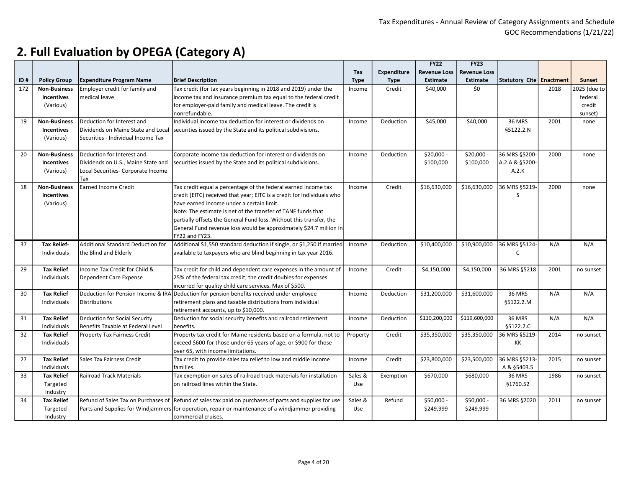|     |                                          |                                           |                                                                                                                                                                   |             |                    | <b>FY22</b>         | <b>FY23</b>         |                            |      |               |
|-----|------------------------------------------|-------------------------------------------|-------------------------------------------------------------------------------------------------------------------------------------------------------------------|-------------|--------------------|---------------------|---------------------|----------------------------|------|---------------|
|     |                                          |                                           |                                                                                                                                                                   | Tax         | <b>Expenditure</b> | <b>Revenue Loss</b> | <b>Revenue Loss</b> |                            |      |               |
| ID# | <b>Policy Group</b>                      | <b>Expenditure Program Name</b>           | <b>Brief Description</b>                                                                                                                                          | <b>Type</b> | <b>Type</b>        | <b>Estimate</b>     | <b>Estimate</b>     | Statutory Cite   Enactment |      | <b>Sunset</b> |
| 172 | <b>Non-Business</b>                      | Employer credit for family and            | Tax credit (for tax years beginning in 2018 and 2019) under the                                                                                                   | Income      | Credit             | \$40,000            | \$0                 |                            | 2018 | 2025 (due to  |
|     | <b>Incentives</b>                        | medical leave                             | income tax and insurance premium tax equal to the federal credit                                                                                                  |             |                    |                     |                     |                            |      | federal       |
|     | (Various)                                |                                           | for employer-paid family and medical leave. The credit is                                                                                                         |             |                    |                     |                     |                            |      | credit        |
|     |                                          |                                           | nonrefundable.                                                                                                                                                    |             |                    |                     |                     |                            |      | sunset)       |
| 19  | <b>Non-Business</b><br><b>Incentives</b> | Deduction for Interest and                | Individual income tax deduction for interest or dividends on<br>Dividends on Maine State and Local Securities issued by the State and its political subdivisions. | Income      | Deduction          | \$45,000            | \$40,000            | <b>36 MRS</b><br>§5122.2.N | 2001 | none          |
|     | (Various)                                | Securities - Individual Income Tax        |                                                                                                                                                                   |             |                    |                     |                     |                            |      |               |
| 20  | <b>Non-Business</b>                      | Deduction for Interest and                | Corporate income tax deduction for interest or dividends on                                                                                                       | Income      | Deduction          | \$20,000 -          | $$20,000 -$         | 36 MRS §5200-              | 2000 | none          |
|     | <b>Incentives</b>                        | Dividends on U.S., Maine State and        | securities issued by the State and its political subdivisions.                                                                                                    |             |                    | \$100,000           | \$100,000           | A.2.A & §5200-             |      |               |
|     | (Various)                                | Local Securities- Corporate Income<br>Tax |                                                                                                                                                                   |             |                    |                     |                     | A.2.K                      |      |               |
| 18  | <b>Non-Business</b>                      | <b>Earned Income Credit</b>               | Tax credit equal a percentage of the federal earned income tax                                                                                                    | Income      | Credit             | \$16,630,000        | \$16,630,000        | 36 MRS §5219-              | 2000 | none          |
|     | <b>Incentives</b>                        |                                           | credit (EITC) received that year; EITC is a credit for individuals who                                                                                            |             |                    |                     |                     | S                          |      |               |
|     | (Various)                                |                                           | have earned income under a certain limit.                                                                                                                         |             |                    |                     |                     |                            |      |               |
|     |                                          |                                           | Note: The estimate is net of the transfer of TANF funds that                                                                                                      |             |                    |                     |                     |                            |      |               |
|     |                                          |                                           | partially offsets the General Fund loss. Without this transfer, the                                                                                               |             |                    |                     |                     |                            |      |               |
|     |                                          |                                           | General Fund revenue loss would be approximately \$24.7 million in                                                                                                |             |                    |                     |                     |                            |      |               |
|     |                                          |                                           | FY22 and FY23.                                                                                                                                                    |             |                    |                     |                     |                            |      |               |
| 37  | <b>Tax Relief-</b>                       | <b>Additional Standard Deduction for</b>  | Additional \$1,550 standard deduction if single, or \$1,250 if married                                                                                            | Income      | Deduction          | \$10,400,000        | \$10,900,000        | 36 MRS §5124-              | N/A  | N/A           |
|     | Individuals                              | the Blind and Elderly                     | available to taxpayers who are blind beginning in tax year 2016.                                                                                                  |             |                    |                     |                     | C                          |      |               |
|     |                                          |                                           |                                                                                                                                                                   |             |                    |                     |                     |                            |      |               |
| 29  | <b>Tax Relief</b>                        | Income Tax Credit for Child &             | Tax credit for child and dependent care expenses in the amount of                                                                                                 | Income      | Credit             | \$4,150,000         | \$4,150,000         | 36 MRS §5218               | 2001 | no sunset     |
|     | Individuals                              | Dependent Care Expense                    | 25% of the federal tax credit; the credit doubles for expenses                                                                                                    |             |                    |                     |                     |                            |      |               |
|     |                                          |                                           | incurred for quality child care services. Max of \$500.                                                                                                           |             |                    |                     |                     |                            |      |               |
| 30  | <b>Tax Relief</b>                        |                                           | Deduction for Pension Income & IRA Deduction for pension benefits received under employee                                                                         | Income      | Deduction          | \$31,200,000        | \$31,600,000        | <b>36 MRS</b>              | N/A  | N/A           |
|     | Individuals                              | <b>Distributions</b>                      | retirement plans and taxable distributions from individual                                                                                                        |             |                    |                     |                     | §5122.2.M                  |      |               |
|     |                                          |                                           | retirement accounts, up to \$10,000.                                                                                                                              |             |                    |                     |                     |                            |      |               |
| 31  | <b>Tax Relief</b>                        | Deduction for Social Security             | Deduction for social security benefits and railroad retirement                                                                                                    | Income      | Deduction          | \$110,200,000       | \$119,600,000       | <b>36 MRS</b>              | N/A  | N/A           |
|     | Individuals                              | Benefits Taxable at Federal Level         | benefits.                                                                                                                                                         |             |                    |                     |                     | §5122.2.C                  |      |               |
| 32  | <b>Tax Relief</b>                        | <b>Property Tax Fairness Credit</b>       | Property tax credit for Maine residents based on a formula, not to                                                                                                | Property    | Credit             | \$35,350,000        | \$35,350,000        | 36 MRS §5219-              | 2014 | no sunset     |
|     | <b>Individuals</b>                       |                                           | exceed \$600 for those under 65 years of age, or \$900 for those                                                                                                  |             |                    |                     |                     | КK                         |      |               |
|     |                                          |                                           | over 65, with income limitations.                                                                                                                                 |             |                    |                     |                     |                            |      |               |
| 27  | <b>Tax Relief</b>                        | Sales Tax Fairness Credit                 | Tax credit to provide sales tax relief to low and middle income                                                                                                   | Income      | Credit             | \$23,800,000        | \$23,500,000        | 36 MRS §5213-              | 2015 | no sunset     |
|     | Individuals                              |                                           | families.                                                                                                                                                         |             |                    |                     |                     | A & §5403.5                |      |               |
| 33  | <b>Tax Relief</b>                        | <b>Railroad Track Materials</b>           | Tax exemption on sales of railroad track materials for installation                                                                                               | Sales &     | Exemption          | \$670,000           | \$680,000           | <b>36 MRS</b>              | 1986 | no sunset     |
|     | Targeted                                 |                                           | on railroad lines within the State.                                                                                                                               | Use         |                    |                     |                     | §1760.52                   |      |               |
|     | Industry                                 |                                           |                                                                                                                                                                   |             |                    |                     |                     |                            |      |               |
| 34  | <b>Tax Relief</b>                        |                                           | Refund of Sales Tax on Purchases of Refund of sales tax paid on purchases of parts and supplies for use                                                           | Sales &     | Refund             | \$50,000 -          | \$50,000 -          | 36 MRS §2020               | 2011 | no sunset     |
|     | Targeted                                 |                                           | Parts and Supplies for Windjammers for operation, repair or maintenance of a windjammer providing                                                                 | Use         |                    | \$249,999           | \$249,999           |                            |      |               |
|     | Industry                                 |                                           | commercial cruises.                                                                                                                                               |             |                    |                     |                     |                            |      |               |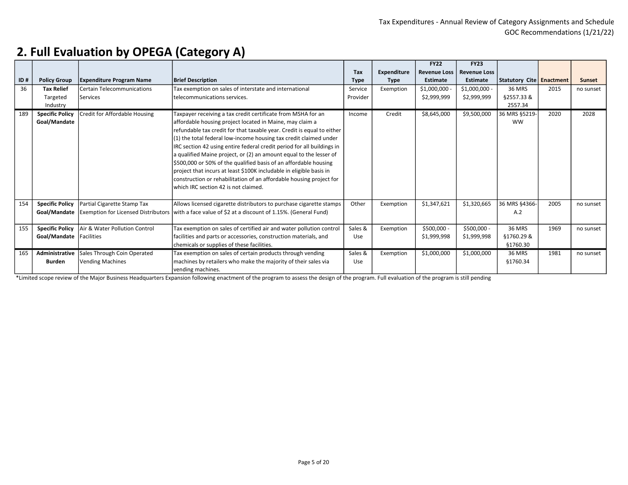|     |                        |                                   |                                                                                                       |             |                    | <b>FY22</b>         | <b>FY23</b>         |                          |      |           |
|-----|------------------------|-----------------------------------|-------------------------------------------------------------------------------------------------------|-------------|--------------------|---------------------|---------------------|--------------------------|------|-----------|
|     |                        |                                   |                                                                                                       | Tax         | <b>Expenditure</b> | <b>Revenue Loss</b> | <b>Revenue Loss</b> |                          |      |           |
| ID# | <b>Policy Group</b>    | <b>Expenditure Program Name</b>   | <b>Brief Description</b>                                                                              | <b>Type</b> | <b>Type</b>        | <b>Estimate</b>     | <b>Estimate</b>     | Statutory Cite Enactment |      | Sunset    |
| 36  | <b>Tax Relief</b>      | <b>Certain Telecommunications</b> | Tax exemption on sales of interstate and international                                                | Service     | Exemption          | $$1,000,000$ -      | $$1,000,000 -$      | 36 MRS                   | 2015 | no sunset |
|     | Targeted               | <b>Services</b>                   | Itelecommunications services.                                                                         | Provider    |                    | \$2,999,999         | \$2,999,999         | §2557.33 &               |      |           |
|     | Industry               |                                   |                                                                                                       |             |                    |                     |                     | 2557.34                  |      |           |
| 189 | <b>Specific Policy</b> | Credit for Affordable Housing     | Taxpayer receiving a tax credit certificate from MSHA for an                                          | Income      | Credit             | \$8,645,000         | \$9,500,000         | 36 MRS §5219-            | 2020 | 2028      |
|     | Goal/Mandate           |                                   | affordable housing project located in Maine, may claim a                                              |             |                    |                     |                     | <b>WW</b>                |      |           |
|     |                        |                                   | refundable tax credit for that taxable year. Credit is equal to either                                |             |                    |                     |                     |                          |      |           |
|     |                        |                                   | $(1)$ the total federal low-income housing tax credit claimed under                                   |             |                    |                     |                     |                          |      |           |
|     |                        |                                   | IRC section 42 using entire federal credit period for all buildings in                                |             |                    |                     |                     |                          |      |           |
|     |                        |                                   | a qualified Maine project, or (2) an amount equal to the lesser of                                    |             |                    |                     |                     |                          |      |           |
|     |                        |                                   | \$500,000 or 50% of the qualified basis of an affordable housing                                      |             |                    |                     |                     |                          |      |           |
|     |                        |                                   | project that incurs at least \$100K includable in eligible basis in                                   |             |                    |                     |                     |                          |      |           |
|     |                        |                                   | construction or rehabilitation of an affordable housing project for                                   |             |                    |                     |                     |                          |      |           |
|     |                        |                                   | lwhich IRC section 42 is not claimed.                                                                 |             |                    |                     |                     |                          |      |           |
|     |                        |                                   |                                                                                                       |             |                    |                     |                     |                          |      |           |
| 154 | <b>Specific Policy</b> | Partial Cigarette Stamp Tax       | Allows licensed cigarette distributors to purchase cigarette stamps                                   | Other       | Exemption          | \$1,347,621         | \$1,320,665         | 36 MRS §4366-            | 2005 | no sunset |
|     | Goal/Mandate           |                                   | Exemption for Licensed Distributors   with a face value of \$2 at a discount of 1.15%. (General Fund) |             |                    |                     |                     | A.2                      |      |           |
|     |                        |                                   |                                                                                                       |             |                    |                     |                     |                          |      |           |
| 155 | <b>Specific Policy</b> | Air & Water Pollution Control     | Tax exemption on sales of certified air and water pollution control                                   | Sales &     | Exemption          | \$500,000 -         | \$500,000 -         | <b>36 MRS</b>            | 1969 | no sunset |
|     | Goal/Mandate           | <b>Facilities</b>                 | facilities and parts or accessories, construction materials, and                                      | Use         |                    | \$1,999,998         | \$1,999,998         | §1760.29 &               |      |           |
|     |                        |                                   | chemicals or supplies of these facilities.                                                            |             |                    |                     |                     | §1760.30                 |      |           |
| 165 | Administrative         | Sales Through Coin Operated       | Tax exemption on sales of certain products through vending                                            | Sales &     | Exemption          | \$1,000,000         | \$1,000,000         | 36 MRS                   | 1981 | no sunset |
|     | <b>Burden</b>          | <b>Vending Machines</b>           | machines by retailers who make the majority of their sales via                                        | Use         |                    |                     |                     | §1760.34                 |      |           |
|     |                        |                                   | vending machines.                                                                                     |             |                    |                     |                     |                          |      |           |

\*Limited scope review of the Major Business Headquarters Expansion following enactment of the program to assess the design of the program. Full evaluation of the program is still pending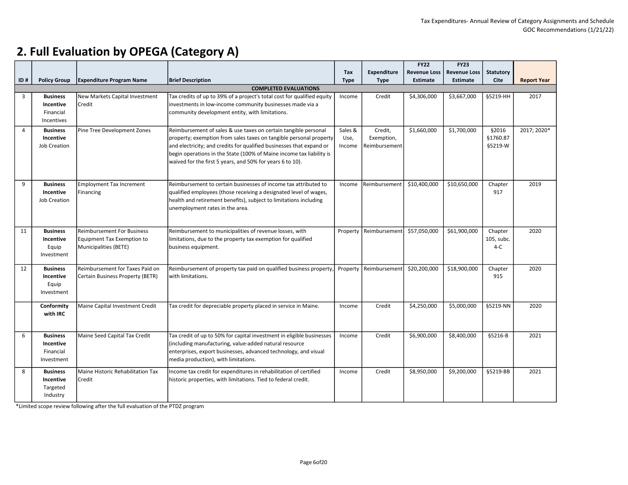|                |                     |                                   |                                                                         |             |               | <b>FY22</b>         | <b>FY23</b>         |                  |                    |
|----------------|---------------------|-----------------------------------|-------------------------------------------------------------------------|-------------|---------------|---------------------|---------------------|------------------|--------------------|
|                |                     |                                   |                                                                         | Tax         | Expenditure   | <b>Revenue Loss</b> | <b>Revenue Loss</b> | <b>Statutory</b> |                    |
| ID#            | <b>Policy Group</b> | <b>Expenditure Program Name</b>   | <b>Brief Description</b>                                                | <b>Type</b> | <b>Type</b>   | <b>Estimate</b>     | <b>Estimate</b>     | <b>Cite</b>      | <b>Report Year</b> |
|                |                     |                                   | <b>COMPLETED EVALUATIONS</b>                                            |             |               |                     |                     |                  |                    |
| 3              | <b>Business</b>     | New Markets Capital Investment    | Tax credits of up to 39% of a project's total cost for qualified equity | Income      | Credit        | \$4,306,000         | \$3,667,000         | §5219-HH         | 2017               |
|                | Incentive           | Credit                            | investments in low-income community businesses made via a               |             |               |                     |                     |                  |                    |
|                | Financial           |                                   | community development entity, with limitations.                         |             |               |                     |                     |                  |                    |
|                | Incentives          |                                   |                                                                         |             |               |                     |                     |                  |                    |
| $\overline{4}$ | <b>Business</b>     | Pine Tree Development Zones       | Reimbursement of sales & use taxes on certain tangible personal         | Sales &     | Credit,       | \$1,660,000         | \$1,700,000         | §2016            | 2017; 2020*        |
|                | Incentive           |                                   | property; exemption from sales taxes on tangible personal property      | Use,        | Exemption,    |                     |                     | §1760.87         |                    |
|                | Job Creation        |                                   | and electricity; and credits for qualified businesses that expand or    | Income      | Reimbursement |                     |                     | §5219-W          |                    |
|                |                     |                                   |                                                                         |             |               |                     |                     |                  |                    |
|                |                     |                                   | begin operations in the State (100% of Maine income tax liability is    |             |               |                     |                     |                  |                    |
|                |                     |                                   | waived for the first 5 years, and 50% for years 6 to 10).               |             |               |                     |                     |                  |                    |
|                |                     |                                   |                                                                         |             |               |                     |                     |                  |                    |
| 9              | <b>Business</b>     | <b>Employment Tax Increment</b>   | Reimbursement to certain businesses of income tax attributed to         | Income      | Reimbursement | \$10,400,000        | \$10,650,000        | Chapter          | 2019               |
|                | Incentive           | Financing                         | qualified employees (those receiving a designated level of wages,       |             |               |                     |                     | 917              |                    |
|                | <b>Job Creation</b> |                                   | health and retirement benefits), subject to limitations including       |             |               |                     |                     |                  |                    |
|                |                     |                                   | unemployment rates in the area.                                         |             |               |                     |                     |                  |                    |
|                |                     |                                   |                                                                         |             |               |                     |                     |                  |                    |
|                |                     |                                   |                                                                         |             |               |                     |                     |                  |                    |
| 11             | <b>Business</b>     | <b>Reimbursement For Business</b> | Reimbursement to municipalities of revenue losses, with                 | Property    | Reimbursement | \$57,050,000        | \$61,900,000        | Chapter          | 2020               |
|                | Incentive           | <b>Equipment Tax Exemption to</b> | limitations, due to the property tax exemption for qualified            |             |               |                     |                     | 105, subc.       |                    |
|                | Equip               | Municipalities (BETE)             | business equipment.                                                     |             |               |                     |                     | $4-C$            |                    |
|                | Investment          |                                   |                                                                         |             |               |                     |                     |                  |                    |
|                |                     |                                   |                                                                         |             |               |                     |                     |                  |                    |
| 12             | <b>Business</b>     | Reimbursement for Taxes Paid on   | Reimbursement of property tax paid on qualified business property,      | Property    | Reimbursement | \$20,200,000        | \$18,900,000        | Chapter          | 2020               |
|                | Incentive           | Certain Business Property (BETR)  | with limitations.                                                       |             |               |                     |                     | 915              |                    |
|                | Equip               |                                   |                                                                         |             |               |                     |                     |                  |                    |
|                | Investment          |                                   |                                                                         |             |               |                     |                     |                  |                    |
|                | Conformity          | Maine Capital Investment Credit   | Tax credit for depreciable property placed in service in Maine.         | Income      | Credit        | \$4,250,000         | \$5,000,000         | §5219-NN         | 2020               |
|                | with IRC            |                                   |                                                                         |             |               |                     |                     |                  |                    |
|                |                     |                                   |                                                                         |             |               |                     |                     |                  |                    |
|                |                     |                                   |                                                                         |             |               |                     |                     |                  |                    |
| 6              | <b>Business</b>     | Maine Seed Capital Tax Credit     | Tax credit of up to 50% for capital investment in eligible businesses   | Income      | Credit        | \$6,900,000         | \$8,400,000         | §5216-B          | 2021               |
|                | Incentive           |                                   | (including manufacturing, value-added natural resource                  |             |               |                     |                     |                  |                    |
|                | Financial           |                                   | enterprises, export businesses, advanced technology, and visual         |             |               |                     |                     |                  |                    |
|                | Investment          |                                   | media production), with limitations.                                    |             |               |                     |                     |                  |                    |
|                |                     |                                   |                                                                         |             |               |                     |                     |                  |                    |
| 8              | <b>Business</b>     | Maine Historic Rehabilitation Tax | Income tax credit for expenditures in rehabilitation of certified       | Income      | Credit        | \$8,950,000         | \$9,200,000         | §5219-BB         | 2021               |
|                | Incentive           | Credit                            | historic properties, with limitations. Tied to federal credit.          |             |               |                     |                     |                  |                    |
|                | Targeted            |                                   |                                                                         |             |               |                     |                     |                  |                    |
|                | Industry            |                                   |                                                                         |             |               |                     |                     |                  |                    |

\*Limited scope review following after the full evaluation of the PTDZ program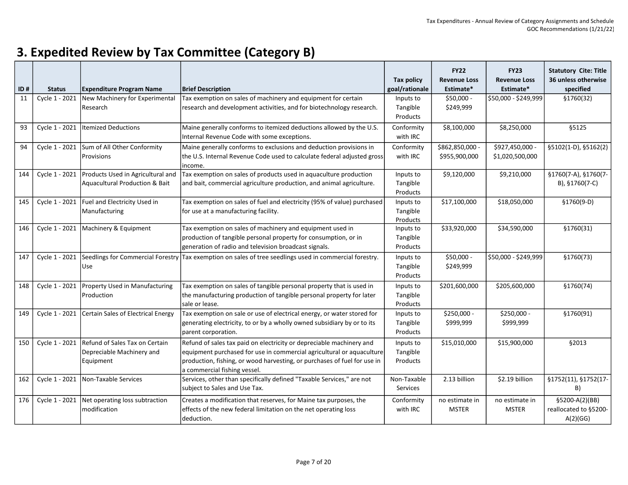| ID# | <b>Status</b>  | <b>Expenditure Program Name</b>                                                         | <b>Brief Description</b>                                                                                                                                                                                                                                  | <b>Tax policy</b><br>goal/rationale | <b>FY22</b><br><b>Revenue Loss</b><br>Estimate* | <b>FY23</b><br><b>Revenue Loss</b><br>Estimate* | <b>Statutory Cite: Title</b><br>36 unless otherwise<br>specified |
|-----|----------------|-----------------------------------------------------------------------------------------|-----------------------------------------------------------------------------------------------------------------------------------------------------------------------------------------------------------------------------------------------------------|-------------------------------------|-------------------------------------------------|-------------------------------------------------|------------------------------------------------------------------|
| 11  | Cycle 1 - 2021 | New Machinery for Experimental<br>Research                                              | Tax exemption on sales of machinery and equipment for certain<br>research and development activities, and for biotechnology research.                                                                                                                     | Inputs to<br>Tangible<br>Products   | \$50,000 -<br>\$249,999                         | \$50,000 - \$249,999                            | §1760(32)                                                        |
| 93  | Cycle 1 - 2021 | <b>Itemized Deductions</b>                                                              | Maine generally conforms to itemized deductions allowed by the U.S.<br>Internal Revenue Code with some exceptions.                                                                                                                                        | Conformity<br>with IRC              | \$8,100,000                                     | \$8,250,000                                     | §5125                                                            |
| 94  | Cycle 1 - 2021 | Sum of All Other Conformity<br>Provisions                                               | Maine generally conforms to exclusions and deduction provisions in<br>the U.S. Internal Revenue Code used to calculate federal adjusted gross<br>income.                                                                                                  | Conformity<br>with IRC              | \$862,850,000 -<br>\$955,900,000                | \$927,450,000 -<br>\$1,020,500,000              | §5102(1-D), §5162(2)                                             |
| 144 | Cycle 1 - 2021 | Products Used in Agricultural and<br>Aquacultural Production & Bait                     | Tax exemption on sales of products used in aquaculture production<br>and bait, commercial agriculture production, and animal agriculture.                                                                                                                 | Inputs to<br>Tangible<br>Products   | \$9,120,000                                     | \$9,210,000                                     | §1760(7-A), §1760(7-<br>B), §1760(7-C)                           |
| 145 | Cycle 1 - 2021 | Fuel and Electricity Used in<br>Manufacturing                                           | Tax exemption on sales of fuel and electricity (95% of value) purchased<br>for use at a manufacturing facility.                                                                                                                                           | Inputs to<br>Tangible<br>Products   | \$17,100,000                                    | \$18,050,000                                    | $$1760(9-D)$                                                     |
| 146 |                | Cycle 1 - 2021 Machinery & Equipment                                                    | Tax exemption on sales of machinery and equipment used in<br>production of tangible personal property for consumption, or in<br>generation of radio and television broadcast signals.                                                                     | Inputs to<br>Tangible<br>Products   | \$33,920,000                                    | \$34,590,000                                    | \$1760(31)                                                       |
| 147 | Cycle 1 - 2021 | Seedlings for Commercial Forestry<br><b>Use</b>                                         | Tax exemption on sales of tree seedlings used in commercial forestry.                                                                                                                                                                                     | Inputs to<br>Tangible<br>Products   | \$50,000 -<br>\$249,999                         | \$50,000 - \$249,999                            | \$1760(73)                                                       |
| 148 |                | Cycle 1 - 2021 Property Used in Manufacturing<br>Production                             | Tax exemption on sales of tangible personal property that is used in<br>the manufacturing production of tangible personal property for later<br>sale or lease.                                                                                            | Inputs to<br>Tangible<br>Products   | \$201,600,000                                   | \$205,600,000                                   | \$1760(74)                                                       |
| 149 | Cycle 1 - 2021 | Certain Sales of Electrical Energy                                                      | Tax exemption on sale or use of electrical energy, or water stored for<br>generating electricity, to or by a wholly owned subsidiary by or to its<br>parent corporation.                                                                                  | Inputs to<br>Tangible<br>Products   | \$250,000 -<br>\$999,999                        | \$250,000 -<br>\$999,999                        | \$1760(91)                                                       |
| 150 |                | Cycle 1 - 2021 Refund of Sales Tax on Certain<br>Depreciable Machinery and<br>Equipment | Refund of sales tax paid on electricity or depreciable machinery and<br>equipment purchased for use in commercial agricultural or aquaculture<br>production, fishing, or wood harvesting, or purchases of fuel for use in<br>a commercial fishing vessel. | Inputs to<br>Tangible<br>Products   | \$15,010,000                                    | \$15,900,000                                    | §2013                                                            |
| 162 | Cycle 1 - 2021 | Non-Taxable Services                                                                    | Services, other than specifically defined "Taxable Services," are not<br>subject to Sales and Use Tax.                                                                                                                                                    | Non-Taxable<br>Services             | 2.13 billion                                    | \$2.19 billion                                  | §1752(11), §1752(17-<br>B)                                       |
| 176 | Cycle 1 - 2021 | Net operating loss subtraction<br>Imodification                                         | Creates a modification that reserves, for Maine tax purposes, the<br>effects of the new federal limitation on the net operating loss<br>deduction.                                                                                                        | Conformity<br>with IRC              | no estimate in<br><b>MSTER</b>                  | no estimate in<br><b>MSTER</b>                  | §5200-A(2)(BB)<br>reallocated to §5200-<br>A(2)(GG)              |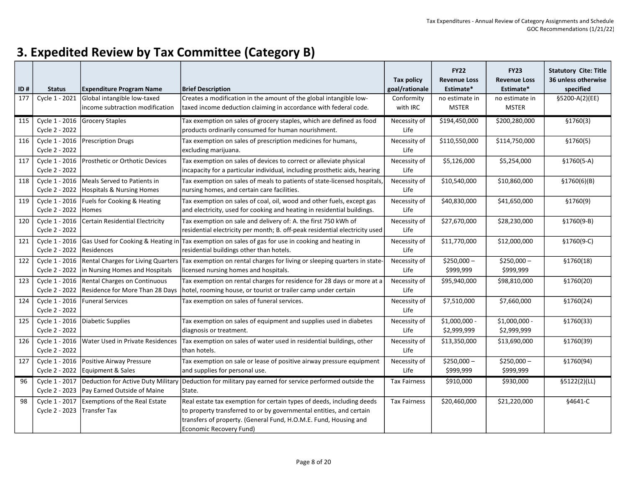| ID# | <b>Status</b>                    | <b>Expenditure Program Name</b>                                                     | <b>Brief Description</b>                                                                                                                                                                                                                    | <b>Tax policy</b><br>goal/rationale | <b>FY22</b><br><b>Revenue Loss</b><br>Estimate* | <b>FY23</b><br><b>Revenue Loss</b><br>Estimate* | <b>Statutory Cite: Title</b><br>36 unless otherwise<br>specified |
|-----|----------------------------------|-------------------------------------------------------------------------------------|---------------------------------------------------------------------------------------------------------------------------------------------------------------------------------------------------------------------------------------------|-------------------------------------|-------------------------------------------------|-------------------------------------------------|------------------------------------------------------------------|
| 177 | Cycle 1 - 2021                   | Global intangible low-taxed<br>income subtraction modification                      | Creates a modification in the amount of the global intangible low-<br>taxed income deduction claiming in accordance with federal code.                                                                                                      | Conformity<br>with IRC              | no estimate in<br><b>MSTER</b>                  | no estimate in<br><b>MSTER</b>                  | §5200-A(2)(EE)                                                   |
| 115 | Cycle 2 - 2022                   | Cycle 1 - 2016 Grocery Staples                                                      | Tax exemption on sales of grocery staples, which are defined as food<br>products ordinarily consumed for human nourishment.                                                                                                                 | Necessity of<br>Life                | \$194,450,000                                   | \$200,280,000                                   | \$1760(3)                                                        |
| 116 | Cycle 2 - 2022                   | Cycle 1 - 2016 Prescription Drugs                                                   | Tax exemption on sales of prescription medicines for humans,<br>excluding marijuana.                                                                                                                                                        | Necessity of<br>Life                | \$110,550,000                                   | \$114,750,000                                   | \$1760(5)                                                        |
| 117 | Cycle 2 - 2022                   | Cycle 1 - 2016   Prosthetic or Orthotic Devices                                     | Tax exemption on sales of devices to correct or alleviate physical<br>incapacity for a particular individual, including prosthetic aids, hearing                                                                                            | Necessity of<br>Life                | \$5,126,000                                     | \$5,254,000                                     | $$1760(5-A)$                                                     |
| 118 | Cycle 2 - 2022                   | Cycle 1 - 2016   Meals Served to Patients in<br>Hospitals & Nursing Homes           | Tax exemption on sales of meals to patients of state-licensed hospitals,<br>nursing homes, and certain care facilities.                                                                                                                     | Necessity of<br>Life                | \$10,540,000                                    | \$10,860,000                                    | \$1760(6)(B)                                                     |
| 119 | Cycle 2 - 2022                   | Cycle 1 - 2016   Fuels for Cooking & Heating<br>Homes                               | Tax exemption on sales of coal, oil, wood and other fuels, except gas<br>and electricity, used for cooking and heating in residential buildings.                                                                                            | Necessity of<br>Life                | \$40,830,000                                    | \$41,650,000                                    | \$1760(9)                                                        |
| 120 | Cycle 1 - 2016<br>Cycle 2 - 2022 | Certain Residential Electricity                                                     | Tax exemption on sale and delivery of: A. the first 750 kWh of<br>residential electricity per month; B. off-peak residential electricity used                                                                                               | Necessity of<br>Life                | \$27,670,000                                    | \$28,230,000                                    | $$1760(9-B)$                                                     |
| 121 | Cycle 1 - 2016<br>Cycle 2 - 2022 | Residences                                                                          | Gas Used for Cooking & Heating in Tax exemption on sales of gas for use in cooking and heating in<br>residential buildings other than hotels.                                                                                               | Necessity of<br>Life                | \$11,770,000                                    | \$12,000,000                                    | §1760(9-C)                                                       |
| 122 | Cycle 2 - 2022                   | Cycle 1 - 2016 Rental Charges for Living Quarters<br>in Nursing Homes and Hospitals | Tax exemption on rental charges for living or sleeping quarters in state<br>licensed nursing homes and hospitals.                                                                                                                           | Necessity of<br>Life                | $$250,000-$<br>\$999,999                        | $$250,000-$<br>\$999,999                        | \$1760(18)                                                       |
| 123 | Cycle 1 - 2016<br>Cycle 2 - 2022 | Rental Charges on Continuous<br>Residence for More Than 28 Days                     | Tax exemption on rental charges for residence for 28 days or more at a<br>hotel, rooming house, or tourist or trailer camp under certain                                                                                                    | Necessity of<br>Life                | \$95,940,000                                    | \$98,810,000                                    | \$1760(20)                                                       |
| 124 | Cycle 1 - 2016<br>Cycle 2 - 2022 | <b>Funeral Services</b>                                                             | Tax exemption on sales of funeral services.                                                                                                                                                                                                 | Necessity of<br>Life                | \$7,510,000                                     | \$7,660,000                                     | \$1760(24)                                                       |
| 125 | Cycle 1 - 2016<br>Cycle 2 - 2022 | Diabetic Supplies                                                                   | Tax exemption on sales of equipment and supplies used in diabetes<br>diagnosis or treatment.                                                                                                                                                | Necessity of<br>Life                | \$1,000,000 -<br>\$2,999,999                    | \$1,000,000 -<br>\$2,999,999                    | \$1760(33)                                                       |
| 126 | Cycle 1 - 2016<br>Cycle 2 - 2022 | Water Used in Private Residences                                                    | Tax exemption on sales of water used in residential buildings, other<br>than hotels.                                                                                                                                                        | Necessity of<br>Life                | \$13,350,000                                    | \$13,690,000                                    | \$1760(39)                                                       |
| 127 | Cycle 1 - 2016<br>Cycle 2 - 2022 | Positive Airway Pressure<br>Equipment & Sales                                       | Tax exemption on sale or lease of positive airway pressure equipment<br>and supplies for personal use.                                                                                                                                      | Necessity of<br>Life                | $$250,000-$<br>\$999,999                        | $$250,000-$<br>\$999,999                        | §1760(94)                                                        |
| 96  | Cycle 1 - 2017<br>Cycle 2 - 2023 | Pay Earned Outside of Maine                                                         | Deduction for Active Duty Military Deduction for military pay earned for service performed outside the<br>State.                                                                                                                            | <b>Tax Fairness</b>                 | \$910,000                                       | \$930,000                                       | \$5122(2)(LL)                                                    |
| 98  | Cycle 1 - 2017<br>Cycle 2 - 2023 | Exemptions of the Real Estate<br>Transfer Tax                                       | Real estate tax exemption for certain types of deeds, including deeds<br>to property transferred to or by governmental entities, and certain<br>transfers of property. (General Fund, H.O.M.E. Fund, Housing and<br>Economic Recovery Fund) | <b>Tax Fairness</b>                 | \$20,460,000                                    | \$21,220,000                                    | §4641-C                                                          |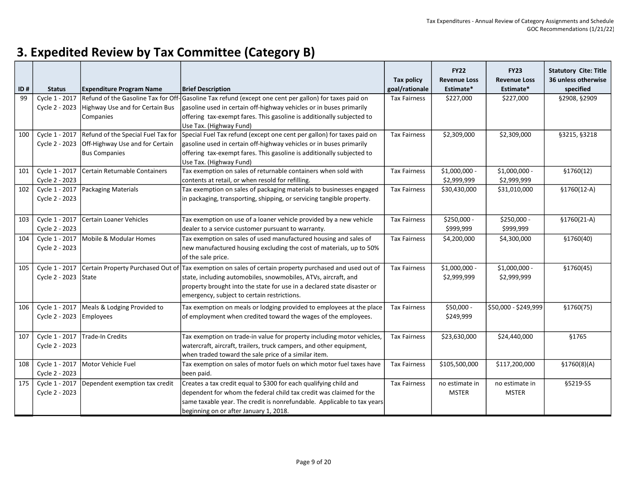| ID# | <b>Status</b>                    | <b>Expenditure Program Name</b>                   | <b>Brief Description</b>                                                                                                                                                                 | <b>Tax policy</b><br>goal/rationale | <b>FY22</b><br><b>Revenue Loss</b><br>Estimate* | <b>FY23</b><br><b>Revenue Loss</b><br>Estimate* | <b>Statutory Cite: Title</b><br>36 unless otherwise<br>specified |
|-----|----------------------------------|---------------------------------------------------|------------------------------------------------------------------------------------------------------------------------------------------------------------------------------------------|-------------------------------------|-------------------------------------------------|-------------------------------------------------|------------------------------------------------------------------|
| 99  | Cycle 1 - 2017                   | Cycle 2 - 2023   Highway Use and for Certain Bus  | Refund of the Gasoline Tax for Off-Gasoline Tax refund (except one cent per gallon) for taxes paid on<br>gasoline used in certain off-highway vehicles or in buses primarily             | <b>Tax Fairness</b>                 | \$227,000                                       | \$227,000                                       | §2908, §2909                                                     |
|     |                                  | Companies                                         | offering tax-exempt fares. This gasoline is additionally subjected to<br>Use Tax. (Highway Fund)                                                                                         |                                     |                                                 |                                                 |                                                                  |
| 100 |                                  | Cycle 1 - 2017 Refund of the Special Fuel Tax for | Special Fuel Tax refund (except one cent per gallon) for taxes paid on                                                                                                                   | <b>Tax Fairness</b>                 | \$2,309,000                                     | \$2,309,000                                     | §3215, §3218                                                     |
|     |                                  | Cycle 2 - 2023 Off-Highway Use and for Certain    | gasoline used in certain off-highway vehicles or in buses primarily                                                                                                                      |                                     |                                                 |                                                 |                                                                  |
|     |                                  | <b>Bus Companies</b>                              | offering tax-exempt fares. This gasoline is additionally subjected to<br>Use Tax. (Highway Fund)                                                                                         |                                     |                                                 |                                                 |                                                                  |
| 101 | Cycle 1 - 2017<br>Cycle 2 - 2023 | Certain Returnable Containers                     | Tax exemption on sales of returnable containers when sold with<br>contents at retail, or when resold for refilling.                                                                      | <b>Tax Fairness</b>                 | \$1,000,000 -<br>\$2,999,999                    | \$1,000,000 -<br>\$2,999,999                    | \$1760(12)                                                       |
| 102 |                                  | Cycle 1 - 2017 Packaging Materials                | Tax exemption on sales of packaging materials to businesses engaged                                                                                                                      | <b>Tax Fairness</b>                 | \$30,430,000                                    | \$31,010,000                                    | $$1760(12-A)$                                                    |
|     | Cycle 2 - 2023                   |                                                   | in packaging, transporting, shipping, or servicing tangible property.                                                                                                                    |                                     |                                                 |                                                 |                                                                  |
| 103 | Cycle 1 - 2017                   | Certain Loaner Vehicles                           | Tax exemption on use of a loaner vehicle provided by a new vehicle                                                                                                                       | <b>Tax Fairness</b>                 | \$250,000 -                                     | \$250,000 -                                     | $$1760(21-A)$                                                    |
|     | Cycle 2 - 2023                   |                                                   | dealer to a service customer pursuant to warranty.                                                                                                                                       |                                     | \$999,999                                       | \$999,999                                       |                                                                  |
| 104 | Cycle 1 - 2017                   | Mobile & Modular Homes                            | Tax exemption on sales of used manufactured housing and sales of                                                                                                                         | <b>Tax Fairness</b>                 | \$4,200,000                                     | \$4,300,000                                     | \$1760(40)                                                       |
|     | Cycle 2 - 2023                   |                                                   | new manufactured housing excluding the cost of materials, up to 50%<br>of the sale price.                                                                                                |                                     |                                                 |                                                 |                                                                  |
| 105 | Cycle 1 - 2017                   |                                                   | Certain Property Purchased Out of Tax exemption on sales of certain property purchased and used out of                                                                                   | <b>Tax Fairness</b>                 | \$1,000,000 -                                   | \$1,000,000 -                                   | \$1760(45)                                                       |
|     | Cycle 2 - 2023                   | State                                             | state, including automobiles, snowmobiles, ATVs, aircraft, and<br>property brought into the state for use in a declared state disaster or<br>emergency, subject to certain restrictions. |                                     | \$2,999,999                                     | \$2,999,999                                     |                                                                  |
| 106 |                                  | Cycle 1 - 2017   Meals & Lodging Provided to      | Tax exemption on meals or lodging provided to employees at the place                                                                                                                     | <b>Tax Fairness</b>                 | \$50,000 -                                      | \$50,000 - \$249,999                            | \$1760(75)                                                       |
|     | Cycle 2 - 2023 Employees         |                                                   | of employment when credited toward the wages of the employees.                                                                                                                           |                                     | \$249,999                                       |                                                 |                                                                  |
| 107 | Cycle 1 - 2017                   | <b>Trade-In Credits</b>                           | Tax exemption on trade-in value for property including motor vehicles,                                                                                                                   | <b>Tax Fairness</b>                 | \$23,630,000                                    | \$24,440,000                                    | §1765                                                            |
|     | Cycle 2 - 2023                   |                                                   | watercraft, aircraft, trailers, truck campers, and other equipment,<br>when traded toward the sale price of a similar item.                                                              |                                     |                                                 |                                                 |                                                                  |
| 108 |                                  | Cycle 1 - 2017 Motor Vehicle Fuel                 | Tax exemption on sales of motor fuels on which motor fuel taxes have                                                                                                                     | <b>Tax Fairness</b>                 | \$105,500,000                                   | \$117,200,000                                   | \$1760(8)(A)                                                     |
|     | Cycle 2 - 2023                   |                                                   | been paid.                                                                                                                                                                               |                                     |                                                 |                                                 |                                                                  |
| 175 |                                  | Cycle 1 - 2017   Dependent exemption tax credit   | Creates a tax credit equal to \$300 for each qualifying child and                                                                                                                        | <b>Tax Fairness</b>                 | no estimate in                                  | no estimate in                                  | §5219-SS                                                         |
|     | Cycle 2 - 2023                   |                                                   | dependent for whom the federal child tax credit was claimed for the<br>same taxable year. The credit is nonrefundable. Applicable to tax years                                           |                                     | <b>MSTER</b>                                    | <b>MSTER</b>                                    |                                                                  |
|     |                                  |                                                   | beginning on or after January 1, 2018.                                                                                                                                                   |                                     |                                                 |                                                 |                                                                  |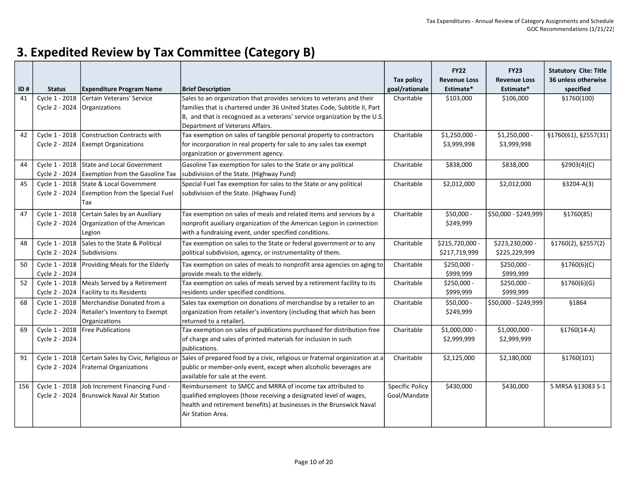| ID# | <b>Status</b>  | <b>Expenditure Program Name</b>               | <b>Brief Description</b>                                                                                         | Tax policy<br>goal/rationale | <b>FY22</b><br><b>Revenue Loss</b><br>Estimate* | <b>FY23</b><br><b>Revenue Loss</b><br>Estimate* | <b>Statutory Cite: Title</b><br>36 unless otherwise<br>specified |
|-----|----------------|-----------------------------------------------|------------------------------------------------------------------------------------------------------------------|------------------------------|-------------------------------------------------|-------------------------------------------------|------------------------------------------------------------------|
| 41  | Cycle 1 - 2018 | Certain Veterans' Service                     | Sales to an organization that provides services to veterans and their                                            | Charitable                   | \$103,000                                       | \$106,000                                       | §1760(100)                                                       |
|     | Cycle 2 - 2024 | Organizations                                 | families that is chartered under 36 United States Code, Subtitle II, Part                                        |                              |                                                 |                                                 |                                                                  |
|     |                |                                               | B, and that is recognized as a veterans' service organization by the U.S.<br>Department of Veterans Affairs.     |                              |                                                 |                                                 |                                                                  |
| 42  | Cycle 1 - 2018 | Construction Contracts with                   | Tax exemption on sales of tangible personal property to contractors                                              | Charitable                   | \$1,250,000 -                                   | \$1,250,000 -                                   | §1760(61), §2557(31)                                             |
|     | Cycle 2 - 2024 | <b>Exempt Organizations</b>                   | for incorporation in real property for sale to any sales tax exempt<br>organization or government agency.        |                              | \$3,999,998                                     | \$3,999,998                                     |                                                                  |
| 44  |                | Cycle 1 - 2018 State and Local Government     | Gasoline Tax exemption for sales to the State or any political                                                   | Charitable                   | \$838,000                                       | \$838,000                                       | \$2903(4)(C)                                                     |
|     | Cycle 2 - 2024 | <b>Exemption from the Gasoline Tax</b>        | subdivision of the State. (Highway Fund)                                                                         |                              |                                                 |                                                 |                                                                  |
| 45  | Cycle 1 - 2018 | State & Local Government                      | Special Fuel Tax exemption for sales to the State or any political                                               | Charitable                   | \$2,012,000                                     | \$2,012,000                                     | $$3204-A(3)$                                                     |
|     | Cycle 2 - 2024 | <b>Exemption from the Special Fuel</b><br>Tax | subdivision of the State. (Highway Fund)                                                                         |                              |                                                 |                                                 |                                                                  |
| 47  | Cycle 1 - 2018 | Certain Sales by an Auxiliary                 | Tax exemption on sales of meals and related items and services by a                                              | Charitable                   | \$50,000 -                                      | \$50,000 - \$249,999                            | §1760(85)                                                        |
|     | Cycle 2 - 2024 | Organization of the American                  | nonprofit auxiliary organization of the American Legion in connection                                            |                              | \$249,999                                       |                                                 |                                                                  |
|     |                | Legion                                        | with a fundraising event, under specified conditions.                                                            |                              |                                                 |                                                 |                                                                  |
| 48  | Cycle 1 - 2018 | Sales to the State & Political                | Tax exemption on sales to the State or federal government or to any                                              | Charitable                   | \$215,720,000 -                                 | \$223,230,000 -                                 | §1760(2), §2557(2)                                               |
|     | Cycle 2 - 2024 | Subdivisions                                  | political subdivision, agency, or instrumentality of them.                                                       |                              | \$217,719,999                                   | \$225,229,999                                   |                                                                  |
| 50  | Cycle 1 - 2018 | Providing Meals for the Elderly               | Tax exemption on sales of meals to nonprofit area agencies on aging to                                           | Charitable                   | \$250,000 -                                     | \$250,000 -                                     | \$1760(6)(C)                                                     |
|     | Cycle 2 - 2024 |                                               | provide meals to the elderly.                                                                                    |                              | \$999,999                                       | \$999,999                                       |                                                                  |
| 52  | Cycle 1 - 2018 | Meals Served by a Retirement                  | Tax exemption on sales of meals served by a retirement facility to its                                           | Charitable                   | $$250,000 -$                                    | $$250,000 -$                                    | \$1760(6)(G)                                                     |
|     | Cycle 2 - 2024 | <b>Facility to its Residents</b>              | residents under specified conditions.                                                                            |                              | \$999,999                                       | \$999,999                                       |                                                                  |
| 68  | Cycle 1 - 2018 | Merchandise Donated from a                    | Sales tax exemption on donations of merchandise by a retailer to an                                              | Charitable                   | \$50,000 -                                      | \$50,000 - \$249,999                            | §1864                                                            |
|     | Cycle 2 - 2024 | Retailer's Inventory to Exempt                | organization from retailer's inventory (including that which has been                                            |                              | \$249,999                                       |                                                 |                                                                  |
| 69  | Cycle 1 - 2018 | Organizations<br><b>Free Publications</b>     | returned to a retailer).<br>Tax exemption on sales of publications purchased for distribution free               | Charitable                   | \$1,000,000 -                                   | \$1,000,000 -                                   | $$1760(14-A)$                                                    |
|     | Cycle 2 - 2024 |                                               | of charge and sales of printed materials for inclusion in such                                                   |                              | \$2,999,999                                     | \$2,999,999                                     |                                                                  |
|     |                |                                               | Ipublications.                                                                                                   |                              |                                                 |                                                 |                                                                  |
| 91  | Cycle 1 - 2018 |                                               | Certain Sales by Civic, Religious or Sales of prepared food by a civic, religious or fraternal organization at a | Charitable                   | \$2,125,000                                     | \$2,180,000                                     | §1760(101)                                                       |
|     | Cycle 2 - 2024 | <b>Fraternal Organizations</b>                | public or member-only event, except when alcoholic beverages are                                                 |                              |                                                 |                                                 |                                                                  |
|     |                |                                               | available for sale at the event.                                                                                 |                              |                                                 |                                                 |                                                                  |
| 156 | Cycle 1 - 2018 | Job Increment Financing Fund -                | Reimbursement to SMCC and MRRA of income tax attributed to                                                       | <b>Specific Policy</b>       | \$430,000                                       | \$430,000                                       | 5 MRSA §13083 S-1                                                |
|     | Cycle 2 - 2024 | Brunswick Naval Air Station                   | qualified employees (those receiving a designated level of wages,                                                | Goal/Mandate                 |                                                 |                                                 |                                                                  |
|     |                |                                               | health and retirement benefits) at businesses in the Brunswick Naval                                             |                              |                                                 |                                                 |                                                                  |
|     |                |                                               | Air Station Area.                                                                                                |                              |                                                 |                                                 |                                                                  |
|     |                |                                               |                                                                                                                  |                              |                                                 |                                                 |                                                                  |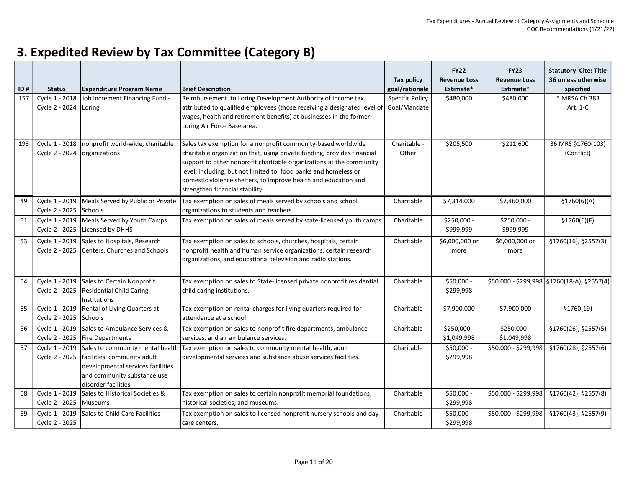| ID# | <b>Status</b>                    | <b>Expenditure Program Name</b>                                                                                        | <b>Brief Description</b>                                                                                                                                                                                                                                                                                                                                                                   | <b>Tax policy</b><br>goal/rationale    | <b>FY22</b><br><b>Revenue Loss</b><br>Estimate* | <b>FY23</b><br><b>Revenue Loss</b><br>Estimate* | <b>Statutory Cite: Title</b><br>36 unless otherwise<br>specified |
|-----|----------------------------------|------------------------------------------------------------------------------------------------------------------------|--------------------------------------------------------------------------------------------------------------------------------------------------------------------------------------------------------------------------------------------------------------------------------------------------------------------------------------------------------------------------------------------|----------------------------------------|-------------------------------------------------|-------------------------------------------------|------------------------------------------------------------------|
| 157 | Cycle 1 - 2018<br>Cycle 2 - 2024 | Job Increment Financing Fund -<br>Loring                                                                               | Reimbursement to Loring Development Authority of income tax<br>attributed to qualified employees (those receiving a designated level of<br>wages, health and retirement benefits) at businesses in the former<br>Loring Air Force Base area.                                                                                                                                               | <b>Specific Policy</b><br>Goal/Mandate | \$480,000                                       | \$480,000                                       | 5 MRSA Ch.383<br>Art. 1-C                                        |
| 193 | Cycle 1 - 2018<br>Cycle 2 - 2024 | nonprofit world-wide, charitable<br>organizations                                                                      | Sales tax exemption for a nonprofit community-based worldwide<br>charitable organization that, using private funding, provides financial<br>support to other nonprofit charitable organizations at the community<br>level, including, but not limited to, food banks and homeless or<br>domestic violence shelters, to improve health and education and<br>strengthen financial stability. | Charitable -<br>Other                  | \$205,500                                       | \$211,600                                       | 36 MRS §1760(103)<br>(Conflict)                                  |
| 49  | Cycle 1 - 2019<br>Cycle 2 - 2025 | Meals Served by Public or Private<br>Schools                                                                           | Tax exemption on sales of meals served by schools and school<br>organizations to students and teachers.                                                                                                                                                                                                                                                                                    | Charitable                             | \$7,314,000                                     | \$7,460,000                                     | \$1760(6)(A)                                                     |
| 51  | Cycle 1 - 2019<br>Cycle 2 - 2025 | Meals Served by Youth Camps<br>Licensed by DHHS                                                                        | Tax exemption on sales of meals served by state-licensed youth camps                                                                                                                                                                                                                                                                                                                       | Charitable                             | \$250,000 -<br>\$999,999                        | \$250,000 -<br>\$999,999                        | \$1760(6)(F)                                                     |
| 53  | Cycle 1 - 2019<br>Cycle 2 - 2025 | Sales to Hospitals, Research<br>Centers, Churches and Schools                                                          | Tax exemption on sales to schools, churches, hospitals, certain<br>nonprofit health and human service organizations, certain research<br>organizations, and educational television and radio stations.                                                                                                                                                                                     | Charitable                             | \$6,000,000 or<br>more                          | \$6,000,000 or<br>more                          | §1760(16), §2557(3)                                              |
| 54  | Cycle 2 - 2025                   | Cycle 1 - 2019 Sales to Certain Nonprofit<br><b>Residential Child Caring</b><br>Institutions                           | Tax exemption on sales to State-licensed private nonprofit residential<br>child caring institutions.                                                                                                                                                                                                                                                                                       | Charitable                             | \$50,000 -<br>\$299,998                         |                                                 | $$50,000 - $299,998$ $$1760(18-A), $2557(4)$                     |
| 55  | Cycle 1 - 2019<br>Cycle 2 - 2025 | Rental of Living Quarters at<br>Schools                                                                                | Tax exemption on rental charges for living quarters required for<br>attendance at a school.                                                                                                                                                                                                                                                                                                | Charitable                             | \$7,900,000                                     | \$7,900,000                                     | \$1760(19)                                                       |
| 56  | Cycle 1 - 2019                   | Sales to Ambulance Services &<br>Cycle 2 - 2025   Fire Departments                                                     | Tax exemption on sales to nonprofit fire departments, ambulance<br>services, and air ambulance services.                                                                                                                                                                                                                                                                                   | Charitable                             | \$250,000 -<br>\$1,049,998                      | \$250,000 -<br>\$1,049,998                      | §1760(26), §2557(5)                                              |
| 57  | Cycle 1 - 2019<br>Cycle 2 - 2025 | facilities, community adult<br>developmental services facilities<br>and community substance use<br>disorder facilities | Sales to community mental health Tax exemption on sales to community mental health, adult<br>developmental services and substance abuse services facilities.                                                                                                                                                                                                                               | Charitable                             | \$50,000 -<br>\$299,998                         | \$50,000 - \$299,998                            | §1760(28), §2557(6)                                              |
| 58  | Cycle 1 - 2019<br>Cycle 2 - 2025 | Sales to Historical Societies &<br>Museums                                                                             | Tax exemption on sales to certain nonprofit memorial foundations,<br>historical societies, and museums.                                                                                                                                                                                                                                                                                    | Charitable                             | \$50,000 -<br>\$299,998                         | $$50,000 - $299,998$                            | §1760(42), §2557(8)                                              |
| 59  | Cycle 1 - 2019<br>Cycle 2 - 2025 | Sales to Child Care Facilities                                                                                         | Tax exemption on sales to licensed nonprofit nursery schools and day<br>care centers.                                                                                                                                                                                                                                                                                                      | Charitable                             | \$50,000 -<br>\$299,998                         | \$50,000 - \$299,998                            | §1760(43), §2557(9)                                              |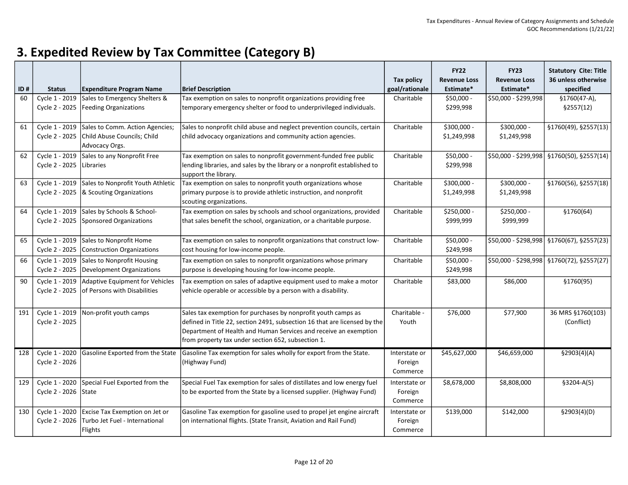| ID# | <b>Status</b>                          | <b>Expenditure Program Name</b>                                                                             | <b>Brief Description</b>                                                                                                                                                                                                                                             | Tax policy<br>goal/rationale         | <b>FY22</b><br><b>Revenue Loss</b><br>Estimate* | <b>FY23</b><br><b>Revenue Loss</b><br>Estimate* | <b>Statutory Cite: Title</b><br>36 unless otherwise<br>specified |
|-----|----------------------------------------|-------------------------------------------------------------------------------------------------------------|----------------------------------------------------------------------------------------------------------------------------------------------------------------------------------------------------------------------------------------------------------------------|--------------------------------------|-------------------------------------------------|-------------------------------------------------|------------------------------------------------------------------|
| 60  | Cycle 1 - 2019<br>Cycle 2 - 2025       | Sales to Emergency Shelters &<br><b>Feeding Organizations</b>                                               | Tax exemption on sales to nonprofit organizations providing free<br>temporary emergency shelter or food to underprivileged individuals.                                                                                                                              | Charitable                           | $$50,000 -$<br>\$299,998                        | \$50,000 - \$299,998                            | $$1760(47-A),$<br>\$2557(12)                                     |
| 61  | Cycle 2 - 2025                         | Cycle 1 - 2019 Sales to Comm. Action Agencies;<br>Child Abuse Councils; Child<br>Advocacy Orgs.             | Sales to nonprofit child abuse and neglect prevention councils, certain<br>child advocacy organizations and community action agencies.                                                                                                                               | Charitable                           | \$300,000 -<br>\$1,249,998                      | \$300,000 -<br>\$1,249,998                      | §1760(49), §2557(13)                                             |
| 62  | Cycle 1 - 2019<br>Cycle 2 - 2025       | Sales to any Nonprofit Free<br>Libraries                                                                    | Tax exemption on sales to nonprofit government-funded free public<br>lending libraries, and sales by the library or a nonprofit established to<br>support the library.                                                                                               | Charitable                           | \$50,000 -<br>\$299,998                         |                                                 | $$50,000 - $299,998$ \\$1760(50), \$2557(14)                     |
| 63  | Cycle 1 - 2019<br>Cycle 2 - 2025       | Sales to Nonprofit Youth Athletic<br>& Scouting Organizations                                               | Tax exemption on sales to nonprofit youth organizations whose<br>primary purpose is to provide athletic instruction, and nonprofit<br>scouting organizations.                                                                                                        | Charitable                           | \$300,000 -<br>\$1,249,998                      | \$300,000 -<br>\$1,249,998                      | §1760(56), §2557(18)                                             |
| 64  | Cycle 1 - 2019<br>Cycle 2 - 2025       | Sales by Schools & School-<br>Sponsored Organizations                                                       | Tax exemption on sales by schools and school organizations, provided<br>that sales benefit the school, organization, or a charitable purpose.                                                                                                                        | Charitable                           | \$250,000 -<br>\$999,999                        | \$250,000 -<br>\$999,999                        | \$1760(64)                                                       |
| 65  | Cycle 1 - 2019<br>Cycle 2 - 2025       | Sales to Nonprofit Home<br><b>Construction Organizations</b>                                                | Tax exemption on sales to nonprofit organizations that construct low-<br>cost housing for low-income people.                                                                                                                                                         | Charitable                           | \$50,000 -<br>\$249,998                         |                                                 | $$50,000 - $298,998$ \\$1760(67), \$2557(23)                     |
| 66  | Cycle 1 - 2019<br>Cycle 2 - 2025       | Sales to Nonprofit Housing<br>Development Organizations                                                     | Tax exemption on sales to nonprofit organizations whose primary<br>purpose is developing housing for low-income people.                                                                                                                                              | Charitable                           | \$50,000 -<br>\$249,998                         |                                                 | $$50,000 - $298,998$ \\$1760(72), \$2557(27)                     |
| 90  | Cycle 1 - 2019<br>Cycle 2 - 2025       | Adaptive Equipment for Vehicles<br>of Persons with Disabilities                                             | Tax exemption on sales of adaptive equipment used to make a motor<br>vehicle operable or accessible by a person with a disability.                                                                                                                                   | Charitable                           | \$83,000                                        | \$86,000                                        | §1760(95)                                                        |
| 191 | Cycle 1 - 2019<br>Cycle 2 - 2025       | Non-profit youth camps                                                                                      | Sales tax exemption for purchases by nonprofit youth camps as<br>defined in Title 22, section 2491, subsection 16 that are licensed by the<br>Department of Health and Human Services and receive an exemption<br>from property tax under section 652, subsection 1. | Charitable -<br>Youth                | \$76,000                                        | \$77,900                                        | 36 MRS §1760(103)<br>(Conflict)                                  |
| 128 | Cycle 1 - 2020<br>Cycle 2 - 2026       | Gasoline Exported from the State                                                                            | Gasoline Tax exemption for sales wholly for export from the State.<br>(Highway Fund)                                                                                                                                                                                 | Interstate or<br>Foreign<br>Commerce | \$45,627,000                                    | \$46,659,000                                    | $\sqrt{2903}(4)(A)$                                              |
| 129 | Cycle 1 - 2020<br>Cycle 2 - 2026 State | Special Fuel Exported from the                                                                              | Special Fuel Tax exemption for sales of distillates and low energy fuel<br>to be exported from the State by a licensed supplier. (Highway Fund)                                                                                                                      | Interstate or<br>Foreign<br>Commerce | \$8,678,000                                     | \$8,808,000                                     | $$3204-A(5)$                                                     |
| 130 |                                        | Cycle 1 - 2020 Excise Tax Exemption on Jet or<br>Cycle 2 - 2026   Turbo Jet Fuel - International<br>Flights | Gasoline Tax exemption for gasoline used to propel jet engine aircraft<br>on international flights. (State Transit, Aviation and Rail Fund)                                                                                                                          | Interstate or<br>Foreign<br>Commerce | \$139,000                                       | \$142,000                                       | \$2903(4)(D)                                                     |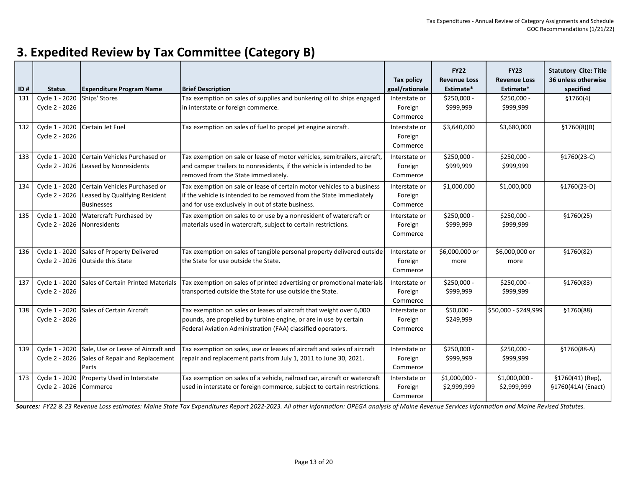| ID# | <b>Status</b>                    | <b>Expenditure Program Name</b>                                                               | <b>Brief Description</b>                                                                                                                                                                                | <b>Tax policy</b><br>goal/rationale  | <b>FY22</b><br><b>Revenue Loss</b><br>Estimate* | <b>FY23</b><br><b>Revenue Loss</b><br>Estimate* | <b>Statutory Cite: Title</b><br>36 unless otherwise<br>specified |
|-----|----------------------------------|-----------------------------------------------------------------------------------------------|---------------------------------------------------------------------------------------------------------------------------------------------------------------------------------------------------------|--------------------------------------|-------------------------------------------------|-------------------------------------------------|------------------------------------------------------------------|
| 131 | Cycle 1 - 2020<br>Cycle 2 - 2026 | Ships' Stores                                                                                 | Tax exemption on sales of supplies and bunkering oil to ships engaged<br>in interstate or foreign commerce.                                                                                             | Interstate or<br>Foreign<br>Commerce | \$250,000 -<br>\$999,999                        | \$250,000 -<br>\$999,999                        | \$1760(4)                                                        |
| 132 | Cycle 1 - 2020<br>Cycle 2 - 2026 | Certain Jet Fuel                                                                              | Tax exemption on sales of fuel to propel jet engine aircraft.                                                                                                                                           | Interstate or<br>Foreign<br>Commerce | \$3,640,000                                     | \$3,680,000                                     | \$1760(8)(B)                                                     |
| 133 | Cycle 1 - 2020                   | Certain Vehicles Purchased or<br>Cycle 2 - 2026 Leased by Nonresidents                        | Tax exemption on sale or lease of motor vehicles, semitrailers, aircraft,<br>and camper trailers to nonresidents, if the vehicle is intended to be<br>removed from the State immediately.               | Interstate or<br>Foreign<br>Commerce | \$250,000 -<br>\$999,999                        | \$250,000 -<br>\$999,999                        | §1760(23-C)                                                      |
| 134 | Cycle 1 - 2020<br>Cycle 2 - 2026 | Certain Vehicles Purchased or<br>Leased by Qualifying Resident<br><b>Businesses</b>           | Tax exemption on sale or lease of certain motor vehicles to a business<br>if the vehicle is intended to be removed from the State immediately<br>and for use exclusively in out of state business.      | Interstate or<br>Foreign<br>Commerce | \$1,000,000                                     | \$1,000,000                                     | §1760(23-D)                                                      |
| 135 | Cycle 2 - 2026 Nonresidents      | Cycle 1 - 2020 Watercraft Purchased by                                                        | Tax exemption on sales to or use by a nonresident of watercraft or<br>materials used in watercraft, subject to certain restrictions.                                                                    | Interstate or<br>Foreign<br>Commerce | \$250,000 -<br>\$999,999                        | \$250,000 -<br>\$999,999                        | \$1760(25)                                                       |
| 136 | Cycle 2 - 2026                   | Cycle 1 - 2020 Sales of Property Delivered<br><b>Outside this State</b>                       | Tax exemption on sales of tangible personal property delivered outside<br>lthe State for use outside the State.                                                                                         | Interstate or<br>Foreign<br>Commerce | \$6,000,000 or<br>more                          | \$6,000,000 or<br>more                          | \$1760(82)                                                       |
| 137 | Cycle 1 - 2020<br>Cycle 2 - 2026 | Sales of Certain Printed Materials                                                            | Tax exemption on sales of printed advertising or promotional materials<br>transported outside the State for use outside the State.                                                                      | Interstate or<br>Foreign<br>Commerce | \$250,000 -<br>\$999,999                        | \$250,000 -<br>\$999,999                        | \$1760(83)                                                       |
| 138 | Cycle 1 - 2020<br>Cycle 2 - 2026 | Sales of Certain Aircraft                                                                     | Tax exemption on sales or leases of aircraft that weight over 6,000<br>pounds, are propelled by turbine engine, or are in use by certain<br>Federal Aviation Administration (FAA) classified operators. | Interstate or<br>Foreign<br>Commerce | \$50,000 -<br>\$249,999                         | \$50,000 - \$249,999                            | §1760(88)                                                        |
| 139 | Cycle 2 - 2026                   | Cycle 1 - 2020 Sale, Use or Lease of Aircraft and<br>Sales of Repair and Replacement<br>Parts | Tax exemption on sales, use or leases of aircraft and sales of aircraft<br>repair and replacement parts from July 1, 2011 to June 30, 2021.                                                             | Interstate or<br>Foreign<br>Commerce | \$250,000 -<br>\$999,999                        | \$250,000 -<br>\$999,999                        | §1760(88-A)                                                      |
| 173 | Cycle 2 - 2026                   | Cycle 1 - 2020 Property Used in Interstate<br>Commerce                                        | Tax exemption on sales of a vehicle, railroad car, aircraft or watercraft<br>used in interstate or foreign commerce, subject to certain restrictions.                                                   | Interstate or<br>Foreign<br>Commerce | $$1,000,000 -$<br>\$2,999,999                   | $$1,000,000 -$<br>\$2,999,999                   | §1760(41) (Rep),<br>§1760(41A) (Enact)                           |

Sources: FY22 & 23 Revenue Loss estimates: Maine State Tax Expenditures Report 2022-2023. All other information: OPEGA analysis of Maine Revenue Services information and Maine Revised Statutes.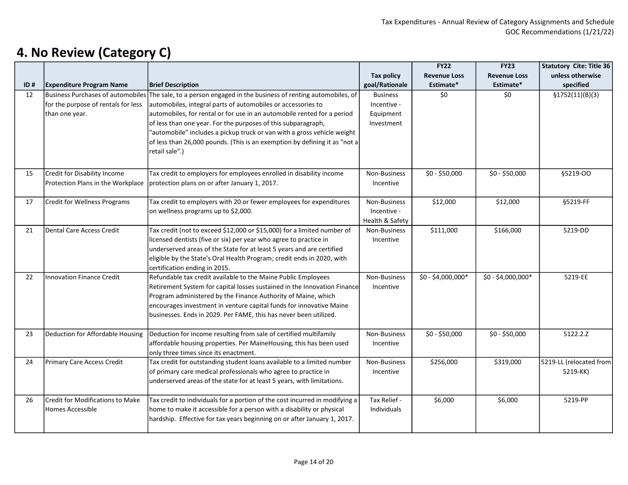|     |                                     |                                                                                                                                      |                   | <b>FY22</b>         | <b>FY23</b>         | <b>Statutory Cite: Title 36</b> |
|-----|-------------------------------------|--------------------------------------------------------------------------------------------------------------------------------------|-------------------|---------------------|---------------------|---------------------------------|
|     |                                     |                                                                                                                                      | <b>Tax policy</b> | <b>Revenue Loss</b> | <b>Revenue Loss</b> | unless otherwise                |
| ID# | <b>Expenditure Program Name</b>     | <b>Brief Description</b>                                                                                                             | goal/Rationale    | Estimate*           | Estimate*           | specified                       |
| 12  | Business Purchases of automobiles   | The sale, to a person engaged in the business of renting automobiles, of                                                             | <b>Business</b>   | \$0                 | \$0                 | \$1752(11)(B)(3)                |
|     | for the purpose of rentals for less | automobiles, integral parts of automobiles or accessories to                                                                         | Incentive -       |                     |                     |                                 |
|     | than one year.                      | automobiles, for rental or for use in an automobile rented for a period                                                              | Equipment         |                     |                     |                                 |
|     |                                     | of less than one year. For the purposes of this subparagraph,                                                                        | Investment        |                     |                     |                                 |
|     |                                     | 'automobile" includes a pickup truck or van with a gross vehicle weight                                                              |                   |                     |                     |                                 |
|     |                                     | of less than 26,000 pounds. (This is an exemption by defining it as "not a                                                           |                   |                     |                     |                                 |
|     |                                     | retail sale".)                                                                                                                       |                   |                     |                     |                                 |
|     |                                     |                                                                                                                                      |                   |                     |                     |                                 |
| 15  | Credit for Disability Income        | Tax credit to employers for employees enrolled in disability income                                                                  | Non-Business      | \$0 - \$50,000      | $$0 - $50,000$      | §5219-OO                        |
|     | Protection Plans in the Workplace   | protection plans on or after January 1, 2017.                                                                                        | Incentive         |                     |                     |                                 |
|     |                                     |                                                                                                                                      |                   |                     |                     |                                 |
| 17  | Credit for Wellness Programs        | Tax credit to employers with 20 or fewer employees for expenditures                                                                  | Non-Business      | \$12,000            | \$12,000            | §5219-FF                        |
|     |                                     | on wellness programs up to \$2,000.                                                                                                  | Incentive -       |                     |                     |                                 |
|     |                                     |                                                                                                                                      | Health & Safety   |                     |                     |                                 |
| 21  | Dental Care Access Credit           | Tax credit (not to exceed \$12,000 or \$15,000) for a limited number of                                                              | Non-Business      | \$111,000           | \$166,000           | 5219-DD                         |
|     |                                     | licensed dentists (five or six) per year who agree to practice in                                                                    | Incentive         |                     |                     |                                 |
|     |                                     | underserved areas of the State for at least 5 years and are certified                                                                |                   |                     |                     |                                 |
|     |                                     | eligible by the State's Oral Health Program; credit ends in 2020, with                                                               |                   |                     |                     |                                 |
|     |                                     | certification ending in 2015.                                                                                                        |                   |                     |                     |                                 |
| 22  | Innovation Finance Credit           | Refundable tax credit available to the Maine Public Employees                                                                        | Non-Business      | \$0 - \$4,000,000*  | \$0 - \$4,000,000*  | 5219-EE                         |
|     |                                     | Retirement System for capital losses sustained in the Innovation Finance                                                             | Incentive         |                     |                     |                                 |
|     |                                     | Program administered by the Finance Authority of Maine, which<br>encourages investment in venture capital funds for innovative Maine |                   |                     |                     |                                 |
|     |                                     | businesses. Ends in 2029. Per FAME, this has never been utilized.                                                                    |                   |                     |                     |                                 |
|     |                                     |                                                                                                                                      |                   |                     |                     |                                 |
| 23  | Deduction for Affordable Housing    | Deduction for income resulting from sale of certified multifamily                                                                    | Non-Business      | \$0 - \$50,000      | \$0 - \$50,000      | 5122.2.Z                        |
|     |                                     | affordable housing properties. Per MaineHousing, this has been used                                                                  | Incentive         |                     |                     |                                 |
|     |                                     | only three times since its enactment.                                                                                                |                   |                     |                     |                                 |
| 24  | Primary Care Access Credit          | Tax credit for outstanding student loans available to a limited number                                                               | Non-Business      | \$256,000           | \$319,000           | 5219-LL (relocated from         |
|     |                                     | of primary care medical professionals who agree to practice in                                                                       | Incentive         |                     |                     | 5219-KK)                        |
|     |                                     | underserved areas of the state for at least 5 years, with limitations.                                                               |                   |                     |                     |                                 |
|     |                                     |                                                                                                                                      |                   |                     |                     |                                 |
| 26  | Credit for Modifications to Make    | Tax credit to individuals for a portion of the cost incurred in modifying a                                                          | Tax Relief -      | \$6,000             | \$6,000             | 5219-PP                         |
|     | Homes Accessible                    | home to make it accessible for a person with a disability or physical                                                                | Individuals       |                     |                     |                                 |
|     |                                     | hardship. Effective for tax years beginning on or after January 1, 2017.                                                             |                   |                     |                     |                                 |
|     |                                     |                                                                                                                                      |                   |                     |                     |                                 |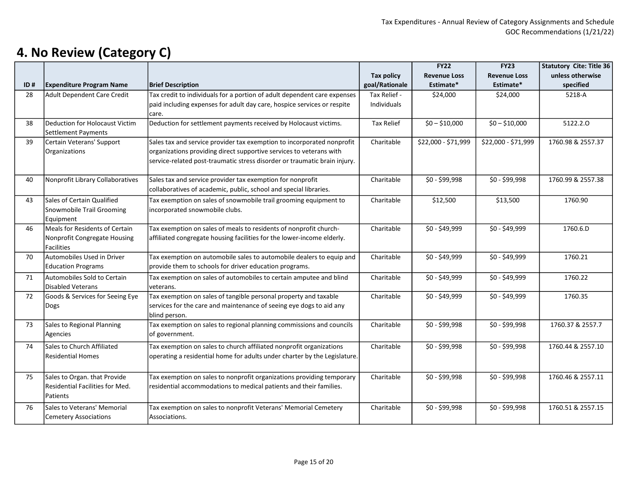|     |                                                                                     |                                                                                                                                                                                                                            |                             | <b>FY22</b>         | <b>FY23</b>         | <b>Statutory Cite: Title 36</b> |
|-----|-------------------------------------------------------------------------------------|----------------------------------------------------------------------------------------------------------------------------------------------------------------------------------------------------------------------------|-----------------------------|---------------------|---------------------|---------------------------------|
|     |                                                                                     |                                                                                                                                                                                                                            | <b>Tax policy</b>           | <b>Revenue Loss</b> | <b>Revenue Loss</b> | unless otherwise                |
| ID# | <b>Expenditure Program Name</b>                                                     | <b>Brief Description</b>                                                                                                                                                                                                   | goal/Rationale              | Estimate*           | Estimate*           | specified                       |
| 28  | <b>Adult Dependent Care Credit</b>                                                  | Tax credit to individuals for a portion of adult dependent care expenses<br>paid including expenses for adult day care, hospice services or respite<br>care.                                                               | Tax Relief -<br>Individuals | \$24,000            | \$24,000            | 5218-A                          |
| 38  | Deduction for Holocaust Victim<br>Settlement Payments                               | Deduction for settlement payments received by Holocaust victims.                                                                                                                                                           | <b>Tax Relief</b>           | $$0 - $10,000$      | $$0 - $10,000$      | 5122.2.0                        |
| 39  | Certain Veterans' Support<br>Organizations                                          | Sales tax and service provider tax exemption to incorporated nonprofit<br>organizations providing direct supportive services to veterans with<br>service-related post-traumatic stress disorder or traumatic brain injury. | Charitable                  | \$22,000 - \$71,999 | \$22,000 - \$71,999 | 1760.98 & 2557.37               |
| 40  | Nonprofit Library Collaboratives                                                    | Sales tax and service provider tax exemption for nonprofit<br>collaboratives of academic, public, school and special libraries.                                                                                            | Charitable                  | \$0 - \$99,998      | \$0 - \$99,998      | 1760.99 & 2557.38               |
| 43  | Sales of Certain Qualified<br>Snowmobile Trail Grooming<br>Equipment                | Tax exemption on sales of snowmobile trail grooming equipment to<br>incorporated snowmobile clubs.                                                                                                                         | Charitable                  | \$12,500            | \$13,500            | 1760.90                         |
| 46  | Meals for Residents of Certain<br>Nonprofit Congregate Housing<br><b>Facilities</b> | Tax exemption on sales of meals to residents of nonprofit church-<br>affiliated congregate housing facilities for the lower-income elderly.                                                                                | Charitable                  | \$0 - \$49,999      | $$0 - $49,999$      | 1760.6.D                        |
| 70  | Automobiles Used in Driver<br><b>Education Programs</b>                             | Tax exemption on automobile sales to automobile dealers to equip and<br>provide them to schools for driver education programs.                                                                                             | Charitable                  | \$0 - \$49,999      | \$0 - \$49,999      | 1760.21                         |
| 71  | Automobiles Sold to Certain<br>Disabled Veterans                                    | Tax exemption on sales of automobiles to certain amputee and blind<br>veterans.                                                                                                                                            | Charitable                  | \$0 - \$49,999      | \$0 - \$49,999      | 1760.22                         |
| 72  | Goods & Services for Seeing Eye<br>Dogs                                             | Tax exemption on sales of tangible personal property and taxable<br>services for the care and maintenance of seeing eye dogs to aid any<br>blind person.                                                                   | Charitable                  | \$0 - \$49,999      | \$0 - \$49,999      | 1760.35                         |
| 73  | Sales to Regional Planning<br>Agencies                                              | Tax exemption on sales to regional planning commissions and councils<br>of government.                                                                                                                                     | Charitable                  | \$0 - \$99,998      | \$0 - \$99,998      | 1760.37 & 2557.7                |
| 74  | Sales to Church Affiliated<br><b>Residential Homes</b>                              | Tax exemption on sales to church affiliated nonprofit organizations<br>operating a residential home for adults under charter by the Legislature.                                                                           | Charitable                  | \$0 - \$99,998      | \$0 - \$99,998      | 1760.44 & 2557.10               |
| 75  | Sales to Organ. that Provide<br>Residential Facilities for Med.<br>Patients         | Tax exemption on sales to nonprofit organizations providing temporary<br>residential accommodations to medical patients and their families.                                                                                | Charitable                  | \$0 - \$99,998      | $$0 - $99,998$      | 1760.46 & 2557.11               |
| 76  | Sales to Veterans' Memorial<br><b>Cemetery Associations</b>                         | Tax exemption on sales to nonprofit Veterans' Memorial Cemetery<br>Associations.                                                                                                                                           | Charitable                  | \$0 - \$99,998      | \$0 - \$99,998      | 1760.51 & 2557.15               |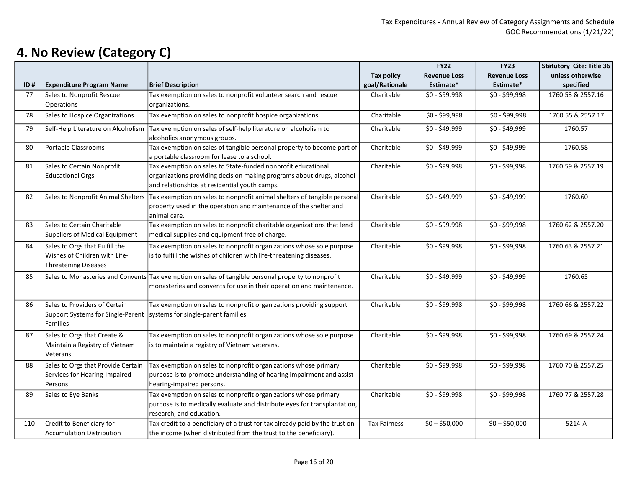|     |                                                                                                |                                                                                                                                                                                        |                     | <b>FY22</b>         | <b>FY23</b>         | <b>Statutory Cite: Title 36</b> |
|-----|------------------------------------------------------------------------------------------------|----------------------------------------------------------------------------------------------------------------------------------------------------------------------------------------|---------------------|---------------------|---------------------|---------------------------------|
|     |                                                                                                |                                                                                                                                                                                        | <b>Tax policy</b>   | <b>Revenue Loss</b> | <b>Revenue Loss</b> | unless otherwise                |
| ID# | <b>Expenditure Program Name</b>                                                                | <b>Brief Description</b>                                                                                                                                                               | goal/Rationale      | Estimate*           | Estimate*           | specified                       |
| 77  | Sales to Nonprofit Rescue<br><b>Operations</b>                                                 | Tax exemption on sales to nonprofit volunteer search and rescue<br>organizations.                                                                                                      | Charitable          | \$0 - \$99,998      | \$0 - \$99,998      | 1760.53 & 2557.16               |
| 78  | Sales to Hospice Organizations                                                                 | Tax exemption on sales to nonprofit hospice organizations.                                                                                                                             | Charitable          | \$0 - \$99,998      | \$0 - \$99,998      | 1760.55 & 2557.17               |
| 79  | Self-Help Literature on Alcoholism                                                             | Tax exemption on sales of self-help literature on alcoholism to<br>alcoholics anonymous groups.                                                                                        | Charitable          | $$0 - $49,999$      | $$0 - $49,999$      | 1760.57                         |
| 80  | Portable Classrooms                                                                            | Tax exemption on sales of tangible personal property to become part of<br>a portable classroom for lease to a school.                                                                  | Charitable          | \$0 - \$49,999      | $$0 - $49,999$      | 1760.58                         |
| 81  | Sales to Certain Nonprofit<br>Educational Orgs.                                                | Tax exemption on sales to State-funded nonprofit educational<br>organizations providing decision making programs about drugs, alcohol<br>and relationships at residential youth camps. | Charitable          | \$0 - \$99,998      | \$0 - \$99,998      | 1760.59 & 2557.19               |
| 82  | Sales to Nonprofit Animal Shelters                                                             | Tax exemption on sales to nonprofit animal shelters of tangible personal<br>property used in the operation and maintenance of the shelter and<br>animal care.                          | Charitable          | \$0 - \$49,999      | \$0 - \$49,999      | 1760.60                         |
| 83  | Sales to Certain Charitable<br>Suppliers of Medical Equipment                                  | Tax exemption on sales to nonprofit charitable organizations that lend<br>medical supplies and equipment free of charge.                                                               | Charitable          | \$0 - \$99,998      | \$0 - \$99,998      | 1760.62 & 2557.20               |
| 84  | Sales to Orgs that Fulfill the<br>Wishes of Children with Life-<br><b>Threatening Diseases</b> | Tax exemption on sales to nonprofit organizations whose sole purpose<br>is to fulfill the wishes of children with life-threatening diseases.                                           | Charitable          | \$0 - \$99,998      | \$0 - \$99,998      | 1760.63 & 2557.21               |
| 85  |                                                                                                | Sales to Monasteries and Convents Tax exemption on sales of tangible personal property to nonprofit<br>monasteries and convents for use in their operation and maintenance.            | Charitable          | \$0 - \$49,999      | \$0 - \$49,999      | 1760.65                         |
| 86  | Sales to Providers of Certain<br>Support Systems for Single-Parent<br>Families                 | Tax exemption on sales to nonprofit organizations providing support<br>systems for single-parent families.                                                                             | Charitable          | \$0 - \$99,998      | \$0 - \$99,998      | 1760.66 & 2557.22               |
| 87  | Sales to Orgs that Create &<br>Maintain a Registry of Vietnam<br>Veterans                      | Tax exemption on sales to nonprofit organizations whose sole purpose<br>is to maintain a registry of Vietnam veterans.                                                                 | Charitable          | \$0 - \$99,998      | \$0 - \$99,998      | 1760.69 & 2557.24               |
| 88  | Sales to Orgs that Provide Certain<br>Services for Hearing-Impaired<br>Persons                 | Tax exemption on sales to nonprofit organizations whose primary<br>purpose is to promote understanding of hearing impairment and assist<br>hearing-impaired persons.                   | Charitable          | \$0 - \$99,998      | \$0 - \$99,998      | 1760.70 & 2557.25               |
| 89  | Sales to Eye Banks                                                                             | Tax exemption on sales to nonprofit organizations whose primary<br>purpose is to medically evaluate and distribute eyes for transplantation,<br>research, and education.               | Charitable          | \$0 - \$99,998      | \$0 - \$99,998      | 1760.77 & 2557.28               |
| 110 | Credit to Beneficiary for<br><b>Accumulation Distribution</b>                                  | Tax credit to a beneficiary of a trust for tax already paid by the trust on<br>the income (when distributed from the trust to the beneficiary).                                        | <b>Tax Fairness</b> | $$0 - $50,000$      | $$0 - $50,000$      | 5214-A                          |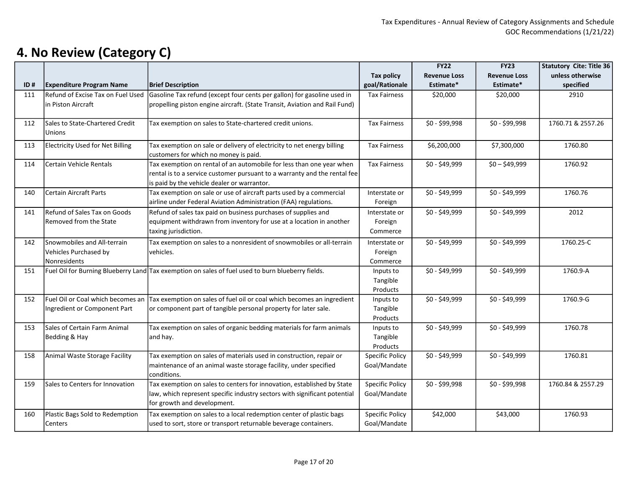| <b>Tax policy</b><br><b>Revenue Loss</b><br><b>Revenue Loss</b><br>goal/Rationale<br>Estimate*<br><b>Expenditure Program Name</b><br><b>Brief Description</b><br>Estimate*<br>specified<br>ID#<br>Gasoline Tax refund (except four cents per gallon) for gasoline used in<br>Refund of Excise Tax on Fuel Used<br><b>Tax Fairness</b><br>\$20,000<br>\$20,000<br>2910<br>111<br>propelling piston engine aircraft. (State Transit, Aviation and Rail Fund)<br>lin Piston Aircraft |  |  | Statutory Cite: Title 36 |
|-----------------------------------------------------------------------------------------------------------------------------------------------------------------------------------------------------------------------------------------------------------------------------------------------------------------------------------------------------------------------------------------------------------------------------------------------------------------------------------|--|--|--------------------------|
|                                                                                                                                                                                                                                                                                                                                                                                                                                                                                   |  |  | unless otherwise         |
|                                                                                                                                                                                                                                                                                                                                                                                                                                                                                   |  |  |                          |
|                                                                                                                                                                                                                                                                                                                                                                                                                                                                                   |  |  |                          |
|                                                                                                                                                                                                                                                                                                                                                                                                                                                                                   |  |  |                          |
|                                                                                                                                                                                                                                                                                                                                                                                                                                                                                   |  |  |                          |
| \$0 - \$99,998<br>\$0 - \$99,998<br>Sales to State-Chartered Credit<br>Tax exemption on sales to State-chartered credit unions.<br>112<br><b>Tax Fairness</b>                                                                                                                                                                                                                                                                                                                     |  |  | 1760.71 & 2557.26        |
| <b>Unions</b>                                                                                                                                                                                                                                                                                                                                                                                                                                                                     |  |  |                          |
| Electricity Used for Net Billing<br>Tax exemption on sale or delivery of electricity to net energy billing<br>\$6,200,000<br>\$7,300,000<br>1760.80<br>113<br><b>Tax Fairness</b>                                                                                                                                                                                                                                                                                                 |  |  |                          |
| customers for which no money is paid.                                                                                                                                                                                                                                                                                                                                                                                                                                             |  |  |                          |
| Tax exemption on rental of an automobile for less than one year when<br>Certain Vehicle Rentals<br><b>Tax Fairness</b><br>\$0 - \$49,999<br>$$0 - $49,999$<br>1760.92<br>114                                                                                                                                                                                                                                                                                                      |  |  |                          |
| rental is to a service customer pursuant to a warranty and the rental fee                                                                                                                                                                                                                                                                                                                                                                                                         |  |  |                          |
| is paid by the vehicle dealer or warrantor.                                                                                                                                                                                                                                                                                                                                                                                                                                       |  |  |                          |
| Tax exemption on sale or use of aircraft parts used by a commercial<br>\$0 - \$49,999<br>1760.76<br>140<br><b>Certain Aircraft Parts</b><br>\$0 - \$49,999<br>Interstate or                                                                                                                                                                                                                                                                                                       |  |  |                          |
| airline under Federal Aviation Administration (FAA) regulations.<br>Foreign                                                                                                                                                                                                                                                                                                                                                                                                       |  |  |                          |
| Refund of Sales Tax on Goods<br>Refund of sales tax paid on business purchases of supplies and<br>\$0 - \$49,999<br>\$0 - \$49,999<br>2012<br>141<br>Interstate or                                                                                                                                                                                                                                                                                                                |  |  |                          |
| Removed from the State<br>equipment withdrawn from inventory for use at a location in another<br>Foreign                                                                                                                                                                                                                                                                                                                                                                          |  |  |                          |
| taxing jurisdiction.<br>Commerce                                                                                                                                                                                                                                                                                                                                                                                                                                                  |  |  |                          |
| Snowmobiles and All-terrain<br>$$0 - $49,999$<br>$$0 - $49,999$<br>142<br>Tax exemption on sales to a nonresident of snowmobiles or all-terrain<br>Interstate or                                                                                                                                                                                                                                                                                                                  |  |  | 1760.25-C                |
| Vehicles Purchased by<br>vehicles.<br>Foreign                                                                                                                                                                                                                                                                                                                                                                                                                                     |  |  |                          |
| Nonresidents<br>Commerce                                                                                                                                                                                                                                                                                                                                                                                                                                                          |  |  |                          |
| Fuel Oil for Burning Blueberry Land Tax exemption on sales of fuel used to burn blueberry fields.<br>\$0 - \$49,999<br>\$0 - \$49,999<br>1760.9-A<br>151<br>Inputs to                                                                                                                                                                                                                                                                                                             |  |  |                          |
| Tangible                                                                                                                                                                                                                                                                                                                                                                                                                                                                          |  |  |                          |
| Products                                                                                                                                                                                                                                                                                                                                                                                                                                                                          |  |  |                          |
| Fuel Oil or Coal which becomes an<br>Tax exemption on sales of fuel oil or coal which becomes an ingredient<br>$$0 - $49,999$<br>$$0 - $49,999$<br>1760.9-G<br>152<br>Inputs to                                                                                                                                                                                                                                                                                                   |  |  |                          |
| Ingredient or Component Part<br>or component part of tangible personal property for later sale.<br>Tangible                                                                                                                                                                                                                                                                                                                                                                       |  |  |                          |
| Products                                                                                                                                                                                                                                                                                                                                                                                                                                                                          |  |  |                          |
| Sales of Certain Farm Animal<br>1760.78<br>Tax exemption on sales of organic bedding materials for farm animals<br>\$0 - \$49,999<br>\$0 - \$49,999<br>153<br>Inputs to                                                                                                                                                                                                                                                                                                           |  |  |                          |
| Bedding & Hay<br>and hay.<br>Tangible                                                                                                                                                                                                                                                                                                                                                                                                                                             |  |  |                          |
| Products                                                                                                                                                                                                                                                                                                                                                                                                                                                                          |  |  |                          |
| Tax exemption on sales of materials used in construction, repair or<br>$$0 - $49,999$<br>$$0 - $49,999$<br>1760.81<br>158<br>Animal Waste Storage Facility<br><b>Specific Policy</b>                                                                                                                                                                                                                                                                                              |  |  |                          |
| maintenance of an animal waste storage facility, under specified<br>Goal/Mandate                                                                                                                                                                                                                                                                                                                                                                                                  |  |  |                          |
| conditions.                                                                                                                                                                                                                                                                                                                                                                                                                                                                       |  |  |                          |
| Tax exemption on sales to centers for innovation, established by State<br><b>Specific Policy</b><br>\$0 - \$99,998<br>159<br>Sales to Centers for Innovation<br>\$0 - \$99,998                                                                                                                                                                                                                                                                                                    |  |  | 1760.84 & 2557.29        |
| law, which represent specific industry sectors with significant potential<br>Goal/Mandate                                                                                                                                                                                                                                                                                                                                                                                         |  |  |                          |
| for growth and development.                                                                                                                                                                                                                                                                                                                                                                                                                                                       |  |  |                          |
| 160<br>Plastic Bags Sold to Redemption<br>Tax exemption on sales to a local redemption center of plastic bags<br><b>Specific Policy</b><br>\$42,000<br>\$43,000<br>1760.93                                                                                                                                                                                                                                                                                                        |  |  |                          |
| used to sort, store or transport returnable beverage containers.<br>Goal/Mandate<br>Centers                                                                                                                                                                                                                                                                                                                                                                                       |  |  |                          |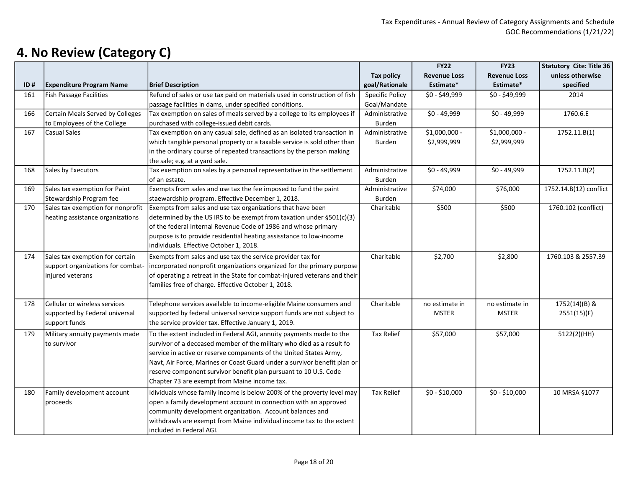|     |                                   |                                                                           |                        | <b>FY22</b>         | <b>FY23</b>         | <b>Statutory Cite: Title 36</b> |
|-----|-----------------------------------|---------------------------------------------------------------------------|------------------------|---------------------|---------------------|---------------------------------|
|     |                                   |                                                                           | <b>Tax policy</b>      | <b>Revenue Loss</b> | <b>Revenue Loss</b> | unless otherwise                |
| ID# | <b>Expenditure Program Name</b>   | <b>Brief Description</b>                                                  | goal/Rationale         | Estimate*           | Estimate*           | specified                       |
| 161 | <b>Fish Passage Facilities</b>    | Refund of sales or use tax paid on materials used in construction of fish | <b>Specific Policy</b> | $$0 - $49,999$      | $$0 - $49,999$      | 2014                            |
|     |                                   | passage facilities in dams, under specified conditions.                   | Goal/Mandate           |                     |                     |                                 |
| 166 | Certain Meals Served by Colleges  | Tax exemption on sales of meals served by a college to its employees if   | Administrative         | $$0 - 49,999$       | $$0 - 49,999$       | 1760.6.E                        |
|     | to Employees of the College       | purchased with college-issued debit cards.                                | Burden                 |                     |                     |                                 |
| 167 | <b>Casual Sales</b>               | Tax exemption on any casual sale, defined as an isolated transaction in   | Administrative         | \$1,000,000 -       | \$1,000,000 -       | 1752.11.B(1)                    |
|     |                                   | which tangible personal property or a taxable service is sold other than  | Burden                 | \$2,999,999         | \$2,999,999         |                                 |
|     |                                   | in the ordinary course of repeated transactions by the person making      |                        |                     |                     |                                 |
|     |                                   | the sale; e.g. at a yard sale.                                            |                        |                     |                     |                                 |
| 168 | Sales by Executors                | Tax exemption on sales by a personal representative in the settlement     | Administrative         | $$0 - 49,999$       | $$0 - 49,999$       | 1752.11.B(2)                    |
|     |                                   | of an estate.                                                             | Burden                 |                     |                     |                                 |
| 169 | Sales tax exemption for Paint     | Exempts from sales and use tax the fee imposed to fund the paint          | Administrative         | \$74,000            | \$76,000            | 1752.14.B(12) conflict          |
|     | Stewardship Program fee           | staewardship program. Effective December 1, 2018.                         | Burden                 |                     |                     |                                 |
| 170 | Sales tax exemption for nonprofit | Exempts from sales and use tax organizations that have been               | Charitable             | \$500               | \$500               | 1760.102 (conflict)             |
|     | heating assistance organizations  | determined by the US IRS to be exempt from taxation under §501(c)(3)      |                        |                     |                     |                                 |
|     |                                   | of the federal Internal Revenue Code of 1986 and whose primary            |                        |                     |                     |                                 |
|     |                                   | purpose is to provide residential heating assisstance to low-income       |                        |                     |                     |                                 |
|     |                                   | individuals. Effective October 1, 2018.                                   |                        |                     |                     |                                 |
| 174 | Sales tax exemption for certain   | Exempts from sales and use tax the service provider tax for               | Charitable             | \$2,700             | \$2,800             | 1760.103 & 2557.39              |
|     | support organizations for combat- | incorporated nonprofit organizations organized for the primary purpose    |                        |                     |                     |                                 |
|     | injured veterans                  | of operating a retreat in the State for combat-injured veterans and their |                        |                     |                     |                                 |
|     |                                   | families free of charge. Effective October 1, 2018.                       |                        |                     |                     |                                 |
|     |                                   |                                                                           |                        |                     |                     |                                 |
| 178 | Cellular or wireless services     | Telephone services available to income-eligible Maine consumers and       | Charitable             | no estimate in      | no estimate in      | 1752(14)(B) &                   |
|     | supported by Federal universal    | supported by federal universal service support funds are not subject to   |                        | <b>MSTER</b>        | <b>MSTER</b>        | 2551(15)(F)                     |
|     | support funds                     | the service provider tax. Effective January 1, 2019.                      |                        |                     |                     |                                 |
| 179 | Military annuity payments made    | To the extent included in Federal AGI, annuity payments made to the       | <b>Tax Relief</b>      | \$57,000            | \$57,000            | 5122(2)(HH)                     |
|     | to survivor                       | survivor of a deceased member of the military who died as a result fo     |                        |                     |                     |                                 |
|     |                                   | service in active or reserve companents of the United States Army,        |                        |                     |                     |                                 |
|     |                                   | Navt, Air Force, Marines or Coast Guard under a survivor benefit plan or  |                        |                     |                     |                                 |
|     |                                   | reserve component survivor benefit plan pursuant to 10 U.S. Code          |                        |                     |                     |                                 |
|     |                                   | Chapter 73 are exempt from Maine income tax.                              |                        |                     |                     |                                 |
| 180 | Family development account        | Idividuals whose family income is below 200% of the proverty level may    | <b>Tax Relief</b>      | $$0 - $10,000$      | $$0 - $10,000$      | 10 MRSA §1077                   |
|     | proceeds                          | open a family development account in connection with an approved          |                        |                     |                     |                                 |
|     |                                   | community development organization. Account balances and                  |                        |                     |                     |                                 |
|     |                                   | withdrawls are exempt from Maine individual income tax to the extent      |                        |                     |                     |                                 |
|     |                                   | included in Federal AGI.                                                  |                        |                     |                     |                                 |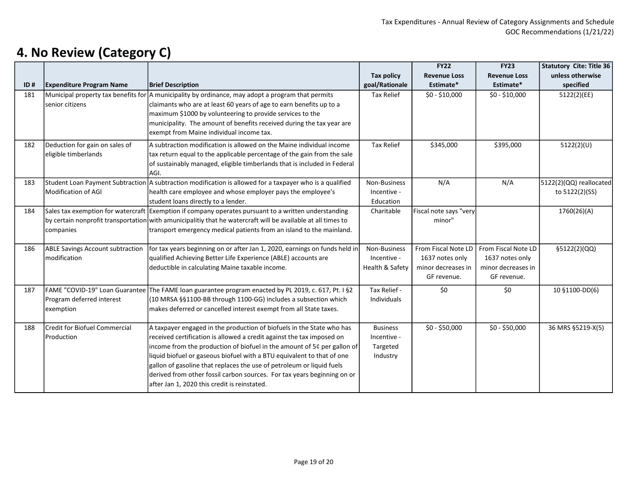|     |                                         |                                                                                                                  |                   | <b>FY22</b>            | <b>FY23</b>         | <b>Statutory Cite: Title 36</b> |
|-----|-----------------------------------------|------------------------------------------------------------------------------------------------------------------|-------------------|------------------------|---------------------|---------------------------------|
|     |                                         |                                                                                                                  | <b>Tax policy</b> | <b>Revenue Loss</b>    | <b>Revenue Loss</b> | unless otherwise                |
| ID# | <b>Expenditure Program Name</b>         | <b>Brief Description</b>                                                                                         | goal/Rationale    | Estimate*              | Estimate*           | specified                       |
| 181 |                                         | Municipal property tax benefits for A municipality by ordinance, may adopt a program that permits                | <b>Tax Relief</b> | $$0 - $10,000$         | $$0 - $10,000$      | 5122(2)(EE)                     |
|     | senior citizens                         | claimants who are at least 60 years of age to earn benefits up to a                                              |                   |                        |                     |                                 |
|     |                                         | maximum \$1000 by volunteering to provide services to the                                                        |                   |                        |                     |                                 |
|     |                                         | municipality. The amount of benefits received during the tax year are                                            |                   |                        |                     |                                 |
|     |                                         | exempt from Maine individual income tax.                                                                         |                   |                        |                     |                                 |
| 182 | Deduction for gain on sales of          | A subtraction modification is allowed on the Maine individual income                                             | <b>Tax Relief</b> | \$345,000              | \$395,000           | 5122(2)(U)                      |
|     | eligible timberlands                    | tax return equal to the applicable percentage of the gain from the sale                                          |                   |                        |                     |                                 |
|     |                                         | of sustainably managed, eligible timberlands that is included in Federal                                         |                   |                        |                     |                                 |
|     |                                         | AGI.                                                                                                             |                   |                        |                     |                                 |
| 183 |                                         | Student Loan Payment Subtraction $\vert$ A subtraction modification is allowed for a taxpayer who is a qualified | Non-Business      | N/A                    | N/A                 | 5122(2)(QQ) reallocated         |
|     | Modification of AGI                     | health care employee and whose employer pays the employee's                                                      | Incentive -       |                        |                     | to 5122(2)(SS)                  |
|     |                                         | student loans directly to a lender.                                                                              | Education         |                        |                     |                                 |
| 184 |                                         | Sales tax exemption for watercraft Exemption if company operates pursuant to a written understanding             | Charitable        | Fiscal note says "very |                     | 1760(26)(A)                     |
|     |                                         | by certain nonprofit transportation with amunicipalitiy that he watercraft will be available at all times to     |                   | minor"                 |                     |                                 |
|     | companies                               | transport emergency medical patients from an island to the mainland.                                             |                   |                        |                     |                                 |
|     |                                         |                                                                                                                  |                   |                        |                     |                                 |
| 186 | <b>ABLE Savings Account subtraction</b> | for tax years beginning on or after Jan 1, 2020, earnings on funds held in                                       | Non-Business      | From Fiscal Note LD    | From Fiscal Note LD | §5122(2)(QQ)                    |
|     | modification                            | qualified Achieving Better Life Experience (ABLE) accounts are                                                   | Incentive -       | 1637 notes only        | 1637 notes only     |                                 |
|     |                                         | deductible in calculating Maine taxable income.                                                                  | Health & Safety   | minor decreases in     | minor decreases in  |                                 |
|     |                                         |                                                                                                                  |                   | GF revenue.            | GF revenue.         |                                 |
| 187 |                                         | FAME "COVID-19" Loan Guarantee The FAME Ioan guarantee program enacted by PL 2019, c. 617, Pt. I §2              | Tax Relief -      | \$0                    | \$0                 | 10 §1100-DD(6)                  |
|     | Program deferred interest               | (10 MRSA §§1100-BB through 1100-GG) includes a subsection which                                                  | Individuals       |                        |                     |                                 |
|     | exemption                               | makes deferred or cancelled interest exempt from all State taxes.                                                |                   |                        |                     |                                 |
|     |                                         |                                                                                                                  |                   |                        |                     |                                 |
| 188 | <b>Credit for Biofuel Commercial</b>    | A taxpayer engaged in the production of biofuels in the State who has                                            | <b>Business</b>   | $$0 - $50,000$         | $$0 - $50,000$      | 36 MRS §5219-X(5)               |
|     | Production                              | received certification is allowed a credit against the tax imposed on                                            | Incentive -       |                        |                     |                                 |
|     |                                         | income from the production of biofuel in the amount of 5¢ per gallon of                                          | Targeted          |                        |                     |                                 |
|     |                                         | liquid biofuel or gaseous biofuel with a BTU equivalent to that of one                                           | Industry          |                        |                     |                                 |
|     |                                         | gallon of gasoline that replaces the use of petroleum or liquid fuels                                            |                   |                        |                     |                                 |
|     |                                         | derived from other fossil carbon sources. For tax years beginning on or                                          |                   |                        |                     |                                 |
|     |                                         | after Jan 1, 2020 this credit is reinstated.                                                                     |                   |                        |                     |                                 |